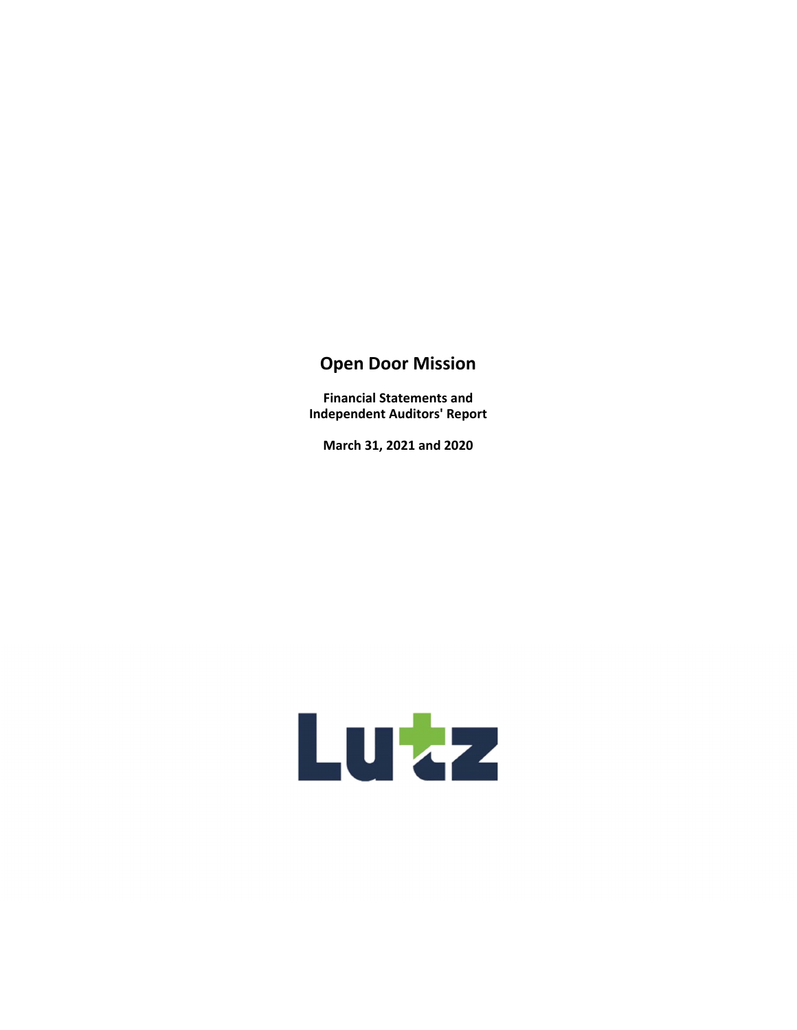**Financial Statements and Independent Auditors' Report** 

**March 31, 2021 and 2020** 

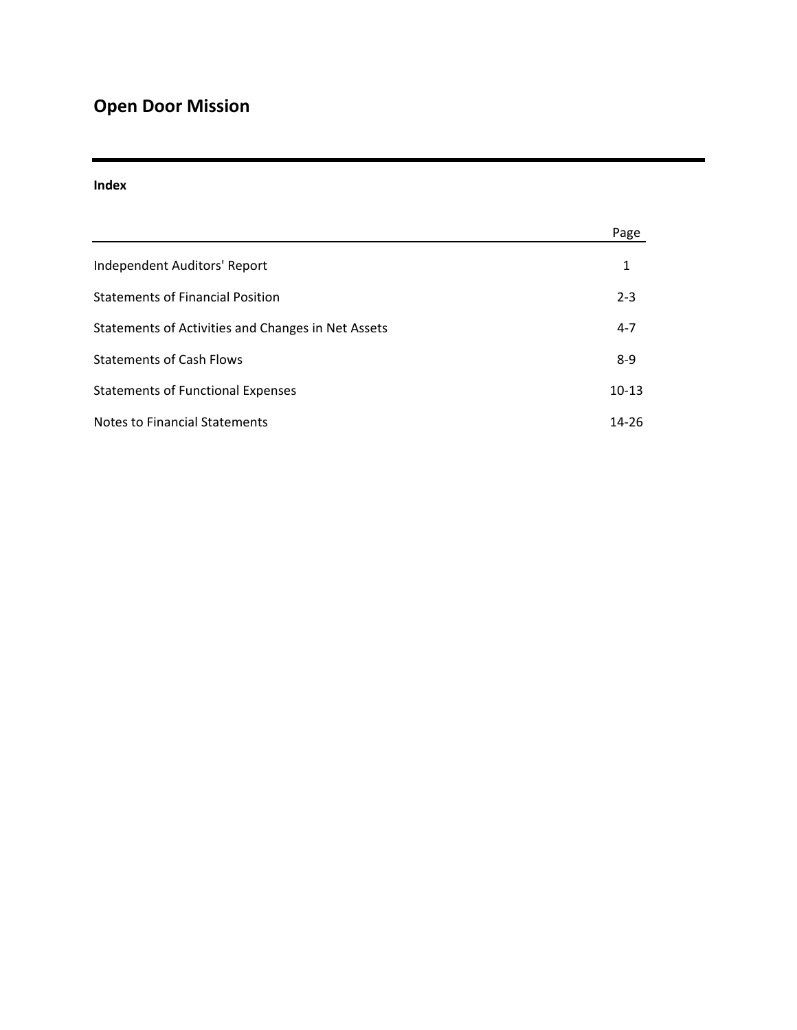#### **Index**

|                                                    | Page      |
|----------------------------------------------------|-----------|
| Independent Auditors' Report                       | 1         |
| <b>Statements of Financial Position</b>            | $2 - 3$   |
| Statements of Activities and Changes in Net Assets | $4 - 7$   |
| <b>Statements of Cash Flows</b>                    | $8-9$     |
| <b>Statements of Functional Expenses</b>           | $10-13$   |
| <b>Notes to Financial Statements</b>               | $14 - 26$ |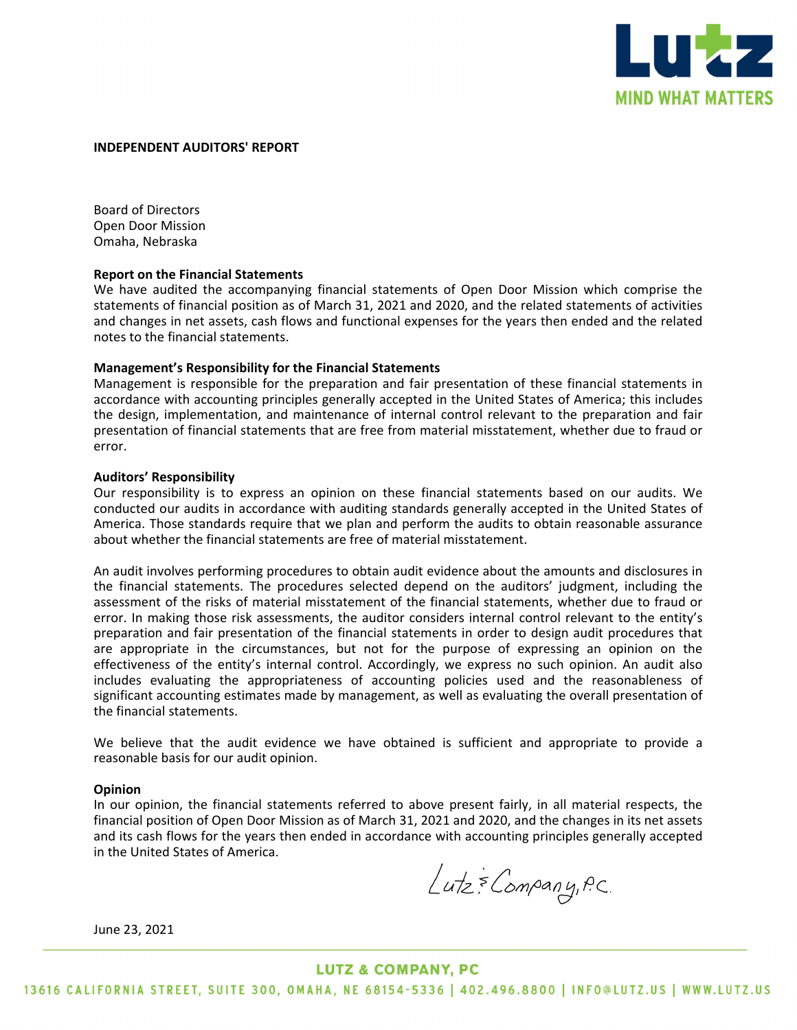

#### **INDEPENDENT AUDITORS' REPORT**

Board of Directors Open Door Mission Omaha, Nebraska

#### **Report on the Financial Statements**

We have audited the accompanying financial statements of Open Door Mission which comprise the statements of financial position as of March 31, 2021 and 2020, and the related statements of activities and changes in net assets, cash flows and functional expenses for the years then ended and the related notes to the financial statements.

#### **Management's Responsibility for the Financial Statements**

Management is responsible for the preparation and fair presentation of these financial statements in accordance with accounting principles generally accepted in the United States of America; this includes the design, implementation, and maintenance of internal control relevant to the preparation and fair presentation of financial statements that are free from material misstatement, whether due to fraud or error.

#### **Auditors' Responsibility**

Our responsibility is to express an opinion on these financial statements based on our audits. We conducted our audits in accordance with auditing standards generally accepted in the United States of America. Those standards require that we plan and perform the audits to obtain reasonable assurance about whether the financial statements are free of material misstatement.

An audit involves performing procedures to obtain audit evidence about the amounts and disclosures in the financial statements. The procedures selected depend on the auditors' judgment, including the assessment of the risks of material misstatement of the financial statements, whether due to fraud or error. In making those risk assessments, the auditor considers internal control relevant to the entity's preparation and fair presentation of the financial statements in order to design audit procedures that are appropriate in the circumstances, but not for the purpose of expressing an opinion on the effectiveness of the entity's internal control. Accordingly, we express no such opinion. An audit also includes evaluating the appropriateness of accounting policies used and the reasonableness of significant accounting estimates made by management, as well as evaluating the overall presentation of the financial statements.

We believe that the audit evidence we have obtained is sufficient and appropriate to provide a reasonable basis for our audit opinion.

#### **Opinion**

In our opinion, the financial statements referred to above present fairly, in all material respects, the financial position of Open Door Mission as of March 31, 2021 and 2020, and the changes in its net assets and its cash flows for the years then ended in accordance with accounting principles generally accepted in the United States of America.

June 23, 2021

#### **LUTZ & COMPANY, PC**

13616 CALIFORNIA STREET, SUITE 300, OMAHA, NE 68154-5336 | 402.496.8800 | INFO@LUTZ.US | WWW.LUTZ.US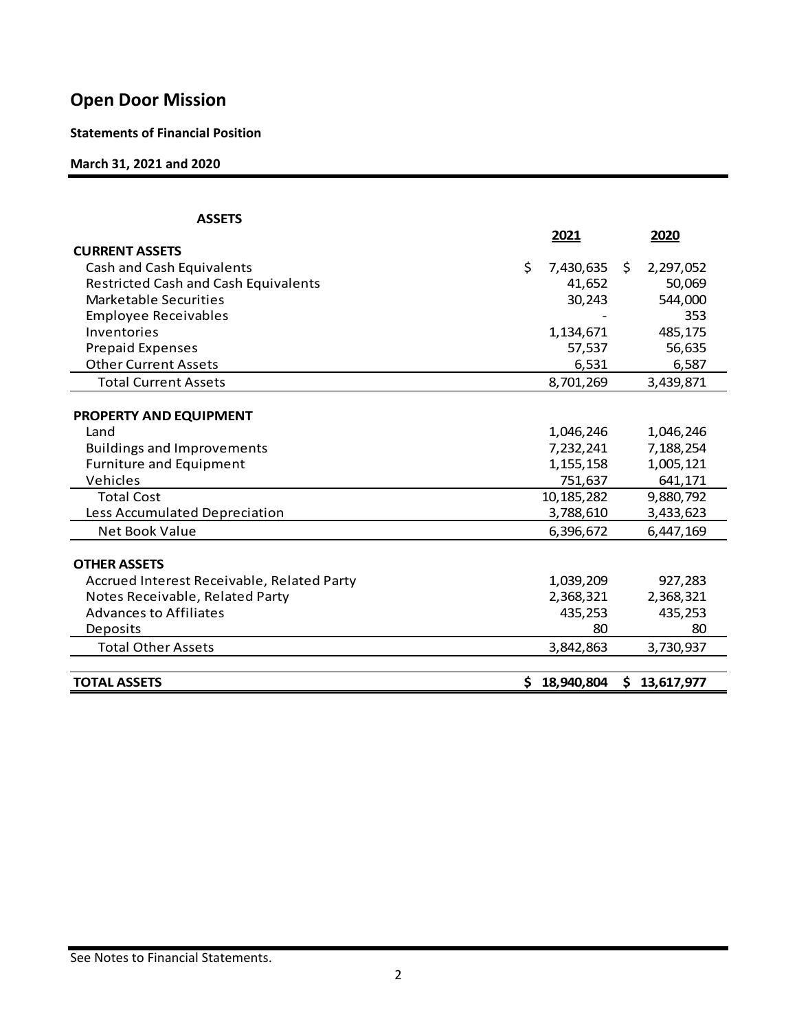**Statements of Financial Position** 

**March 31, 2021 and 2020**

| <b>ASSETS</b>                               |                 |     |              |
|---------------------------------------------|-----------------|-----|--------------|
|                                             | 2021            |     | 2020         |
| <b>CURRENT ASSETS</b>                       |                 |     |              |
| Cash and Cash Equivalents                   | \$<br>7,430,635 | \$. | 2,297,052    |
| <b>Restricted Cash and Cash Equivalents</b> | 41,652          |     | 50,069       |
| Marketable Securities                       | 30,243          |     | 544,000      |
| <b>Employee Receivables</b>                 |                 |     | 353          |
| Inventories                                 | 1,134,671       |     | 485,175      |
| <b>Prepaid Expenses</b>                     | 57,537          |     | 56,635       |
| <b>Other Current Assets</b>                 | 6,531           |     | 6,587        |
| <b>Total Current Assets</b>                 | 8,701,269       |     | 3,439,871    |
|                                             |                 |     |              |
| PROPERTY AND EQUIPMENT                      |                 |     |              |
| Land                                        | 1,046,246       |     | 1,046,246    |
| <b>Buildings and Improvements</b>           | 7,232,241       |     | 7,188,254    |
| Furniture and Equipment                     | 1,155,158       |     | 1,005,121    |
| Vehicles                                    | 751,637         |     | 641,171      |
| <b>Total Cost</b>                           | 10,185,282      |     | 9,880,792    |
| Less Accumulated Depreciation               | 3,788,610       |     | 3,433,623    |
| <b>Net Book Value</b>                       | 6,396,672       |     | 6,447,169    |
|                                             |                 |     |              |
| <b>OTHER ASSETS</b>                         |                 |     |              |
| Accrued Interest Receivable, Related Party  | 1,039,209       |     | 927,283      |
| Notes Receivable, Related Party             | 2,368,321       |     | 2,368,321    |
| <b>Advances to Affiliates</b>               | 435,253         |     | 435,253      |
| Deposits                                    | 80              |     | 80           |
| <b>Total Other Assets</b>                   | 3,842,863       |     | 3,730,937    |
|                                             |                 |     |              |
| <b>TOTAL ASSETS</b>                         | \$18,940,804    |     | \$13,617,977 |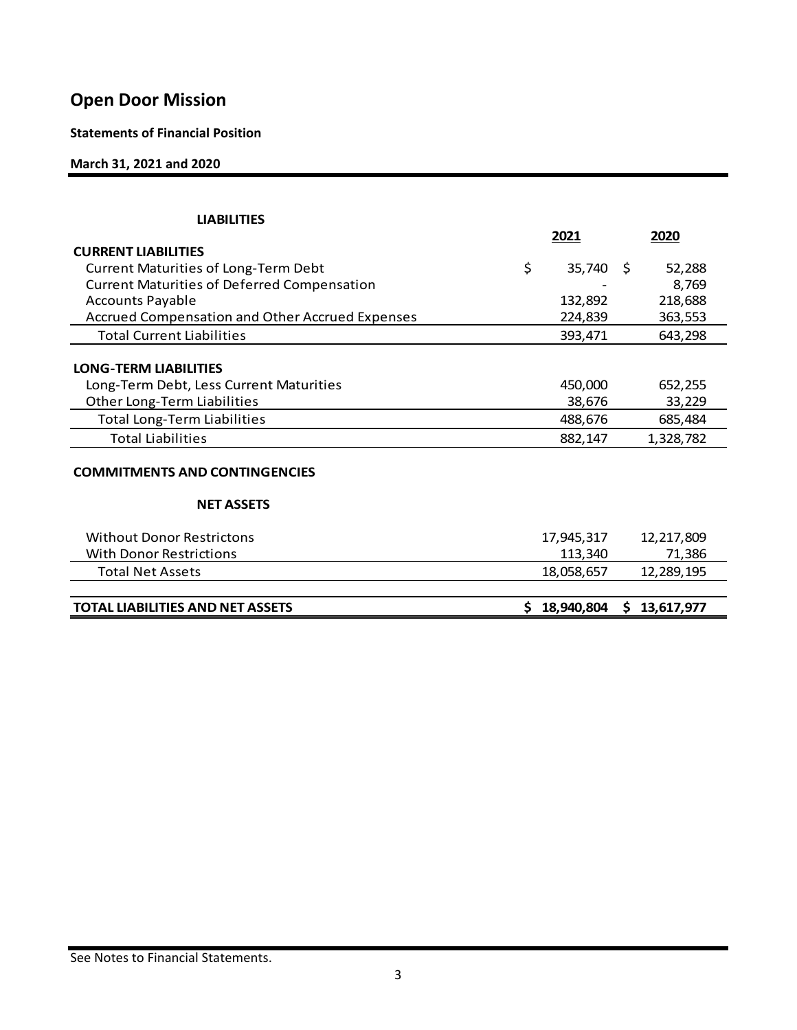## **Statements of Financial Position**

### **March 31, 2021 and 2020**

| <b>LIABILITIES</b>                                     |    |             |              |
|--------------------------------------------------------|----|-------------|--------------|
|                                                        |    | 2021        | 2020         |
| <b>CURRENT LIABILITIES</b>                             |    |             |              |
| <b>Current Maturities of Long-Term Debt</b>            | \$ | $35,740$ \$ | 52,288       |
| <b>Current Maturities of Deferred Compensation</b>     |    |             | 8,769        |
| <b>Accounts Payable</b>                                |    | 132,892     | 218,688      |
| <b>Accrued Compensation and Other Accrued Expenses</b> |    | 224,839     | 363,553      |
| <b>Total Current Liabilities</b>                       |    | 393,471     | 643,298      |
|                                                        |    |             |              |
| <b>LONG-TERM LIABILITIES</b>                           |    |             |              |
| Long-Term Debt, Less Current Maturities                |    | 450,000     | 652,255      |
| Other Long-Term Liabilities                            |    | 38,676      | 33,229       |
| <b>Total Long-Term Liabilities</b>                     |    | 488,676     | 685,484      |
| <b>Total Liabilities</b>                               |    | 882,147     | 1,328,782    |
| <b>COMMITMENTS AND CONTINGENCIES</b>                   |    |             |              |
| <b>NET ASSETS</b>                                      |    |             |              |
| <b>Without Donor Restrictons</b>                       |    | 17,945,317  | 12,217,809   |
| <b>With Donor Restrictions</b>                         |    | 113,340     | 71,386       |
| <b>Total Net Assets</b>                                |    | 18,058,657  | 12,289,195   |
|                                                        |    |             |              |
| <b>TOTAL LIABILITIES AND NET ASSETS</b>                | S. | 18,940,804  | \$13,617,977 |
|                                                        |    |             |              |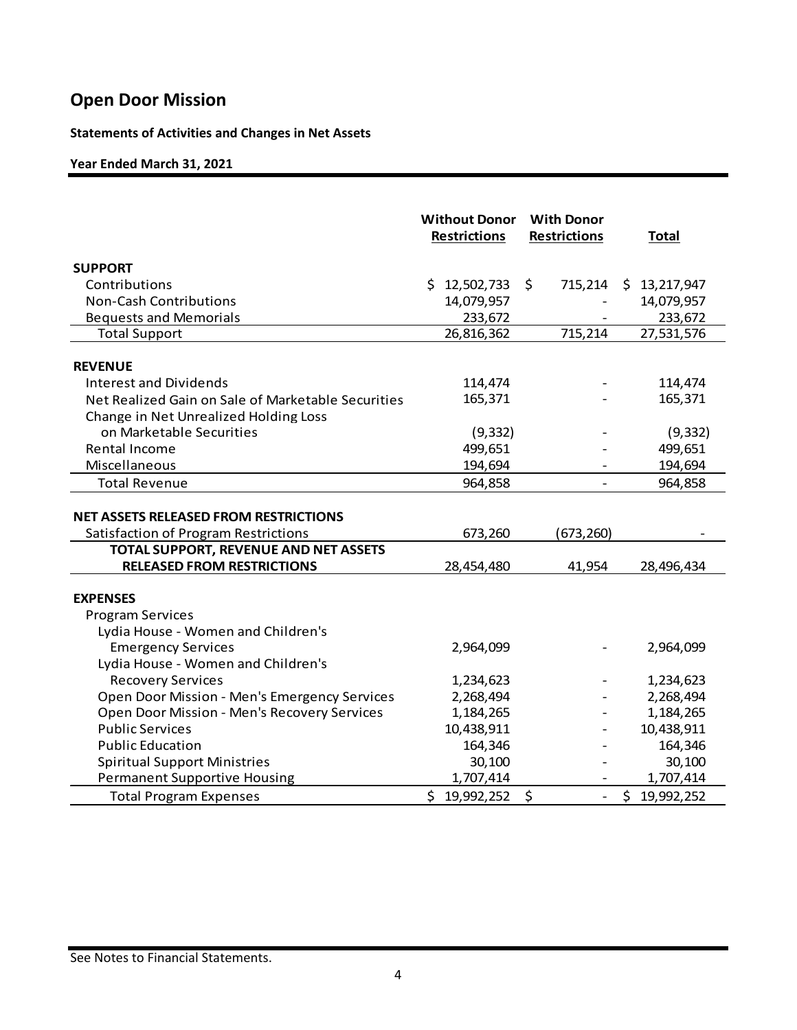## **Statements of Activities and Changes in Net Assets**

### **Year Ended March 31, 2021**

|                                                                                      | <b>Without Donor</b><br><b>Restrictions</b> | <b>With Donor</b><br><b>Restrictions</b> | <b>Total</b>     |
|--------------------------------------------------------------------------------------|---------------------------------------------|------------------------------------------|------------------|
| <b>SUPPORT</b>                                                                       |                                             |                                          |                  |
| Contributions                                                                        | \$12,502,733                                | \$<br>715,214                            | \$13,217,947     |
| <b>Non-Cash Contributions</b>                                                        | 14,079,957                                  |                                          | 14,079,957       |
| <b>Bequests and Memorials</b>                                                        | 233,672                                     |                                          | 233,672          |
| <b>Total Support</b>                                                                 | 26,816,362                                  | 715,214                                  | 27,531,576       |
|                                                                                      |                                             |                                          |                  |
| <b>REVENUE</b>                                                                       |                                             |                                          |                  |
| Interest and Dividends                                                               | 114,474                                     |                                          | 114,474          |
| Net Realized Gain on Sale of Marketable Securities                                   | 165,371                                     |                                          | 165,371          |
| Change in Net Unrealized Holding Loss                                                |                                             |                                          |                  |
| on Marketable Securities                                                             | (9, 332)                                    |                                          | (9, 332)         |
| Rental Income                                                                        | 499,651                                     |                                          | 499,651          |
| Miscellaneous                                                                        | 194,694                                     |                                          | 194,694          |
| <b>Total Revenue</b>                                                                 | 964,858                                     | $\blacksquare$                           | 964,858          |
| <b>NET ASSETS RELEASED FROM RESTRICTIONS</b><br>Satisfaction of Program Restrictions | 673,260                                     | (673, 260)                               |                  |
| TOTAL SUPPORT, REVENUE AND NET ASSETS<br><b>RELEASED FROM RESTRICTIONS</b>           |                                             |                                          |                  |
|                                                                                      | 28,454,480                                  | 41,954                                   | 28,496,434       |
| <b>EXPENSES</b>                                                                      |                                             |                                          |                  |
| <b>Program Services</b>                                                              |                                             |                                          |                  |
| Lydia House - Women and Children's                                                   |                                             |                                          |                  |
| <b>Emergency Services</b>                                                            | 2,964,099                                   |                                          | 2,964,099        |
| Lydia House - Women and Children's                                                   |                                             |                                          |                  |
| <b>Recovery Services</b>                                                             | 1,234,623                                   |                                          | 1,234,623        |
| Open Door Mission - Men's Emergency Services                                         | 2,268,494                                   |                                          | 2,268,494        |
| Open Door Mission - Men's Recovery Services                                          | 1,184,265                                   |                                          | 1,184,265        |
| <b>Public Services</b>                                                               | 10,438,911                                  |                                          | 10,438,911       |
| <b>Public Education</b>                                                              | 164,346                                     |                                          | 164,346          |
| <b>Spiritual Support Ministries</b>                                                  | 30,100                                      |                                          | 30,100           |
| <b>Permanent Supportive Housing</b>                                                  | 1,707,414                                   |                                          | 1,707,414        |
| <b>Total Program Expenses</b>                                                        | \$19,992,252                                | \$<br>$\overline{a}$                     | \$<br>19,992,252 |

#### See Notes to Financial Statements.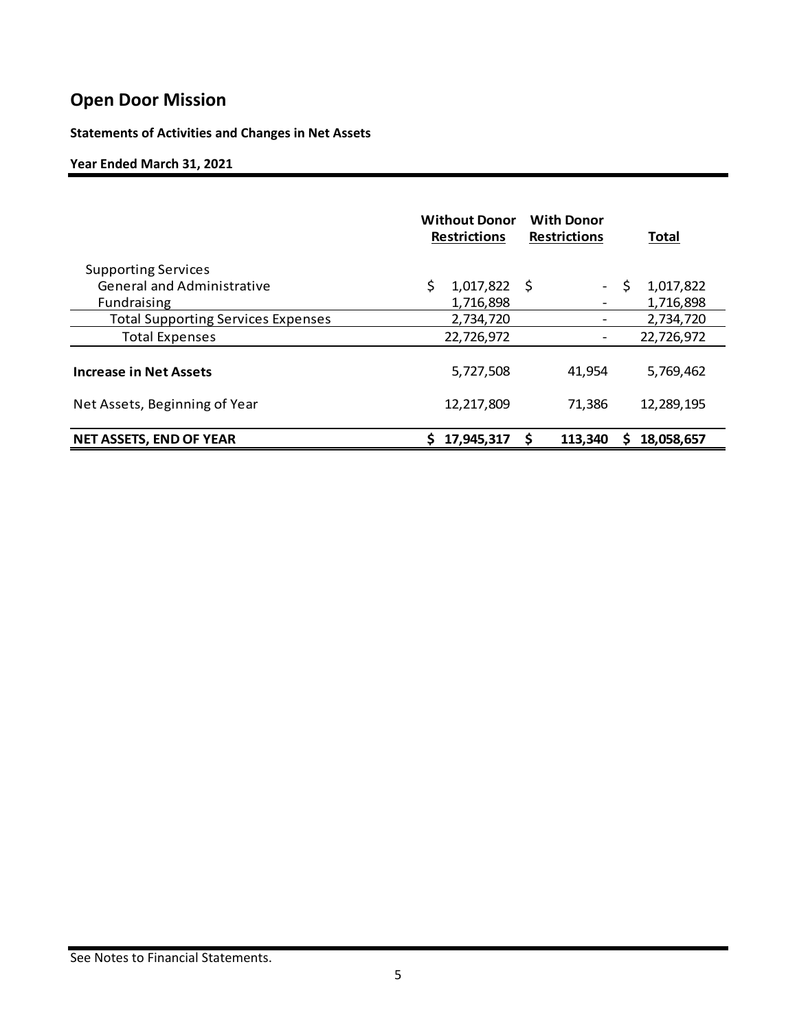**Statements of Activities and Changes in Net Assets** 

### **Year Ended March 31, 2021**

|                                           | <b>Without Donor</b><br><b>Restrictions</b> | <b>With Donor</b><br><b>Restrictions</b> | <b>Total</b>     |
|-------------------------------------------|---------------------------------------------|------------------------------------------|------------------|
| <b>Supporting Services</b>                |                                             |                                          |                  |
| <b>General and Administrative</b>         | \$.<br>$1,017,822$ \$                       | $\sim$                                   | 1,017,822<br>\$. |
| Fundraising                               | 1,716,898                                   |                                          | 1,716,898        |
| <b>Total Supporting Services Expenses</b> | 2,734,720                                   |                                          | 2,734,720        |
| <b>Total Expenses</b>                     | 22,726,972                                  |                                          | 22,726,972       |
| <b>Increase in Net Assets</b>             | 5,727,508                                   | 41,954                                   | 5,769,462        |
| Net Assets, Beginning of Year             | 12,217,809                                  | 71,386                                   | 12,289,195       |
| <b>NET ASSETS, END OF YEAR</b>            | 17,945,317                                  | \$<br>113,340                            | 18,058,657<br>s  |

#### See Notes to Financial Statements.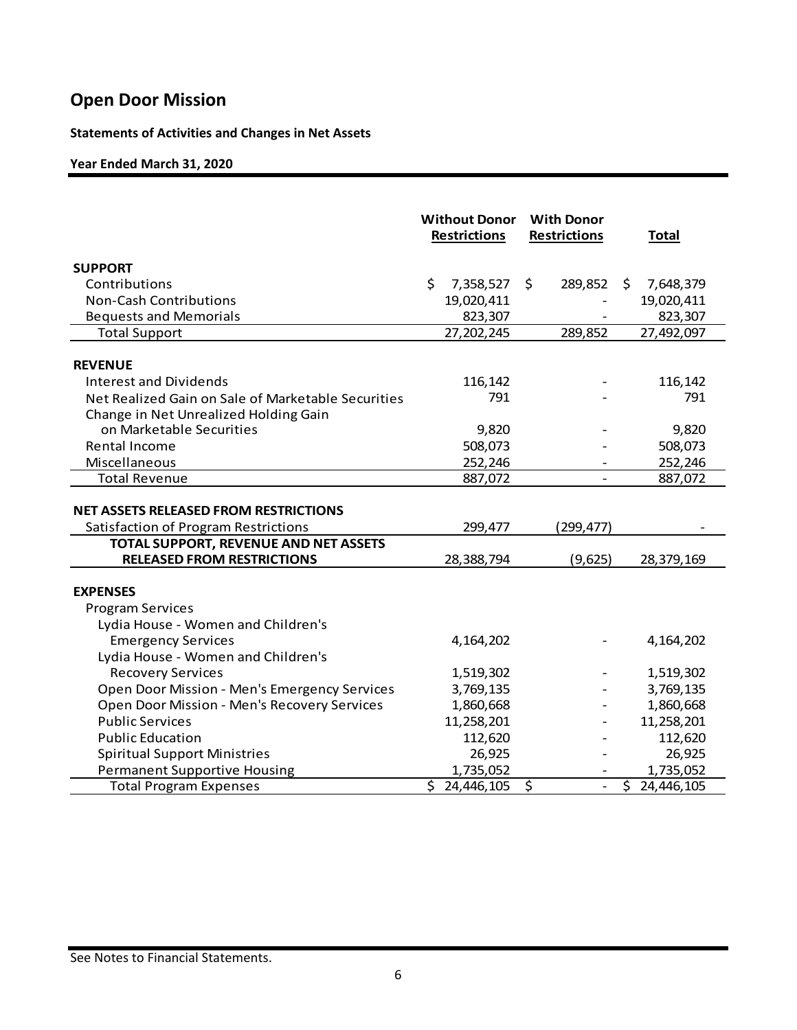## **Statements of Activities and Changes in Net Assets**

### **Year Ended March 31, 2020**

|                                                                                                                        | <b>Without Donor</b><br><b>Restrictions</b> | <b>With Donor</b><br><b>Restrictions</b> | <b>Total</b>     |
|------------------------------------------------------------------------------------------------------------------------|---------------------------------------------|------------------------------------------|------------------|
| <b>SUPPORT</b>                                                                                                         |                                             |                                          |                  |
| Contributions                                                                                                          | \$<br>7,358,527                             | \$<br>289,852                            | 7,648,379<br>\$. |
| <b>Non-Cash Contributions</b>                                                                                          | 19,020,411                                  |                                          | 19,020,411       |
| <b>Bequests and Memorials</b>                                                                                          | 823,307                                     |                                          | 823,307          |
| <b>Total Support</b>                                                                                                   | 27,202,245                                  | 289,852                                  | 27,492,097       |
| <b>REVENUE</b>                                                                                                         |                                             |                                          |                  |
| <b>Interest and Dividends</b>                                                                                          | 116,142                                     |                                          | 116,142          |
| Net Realized Gain on Sale of Marketable Securities                                                                     | 791                                         |                                          | 791              |
| Change in Net Unrealized Holding Gain                                                                                  |                                             |                                          |                  |
| on Marketable Securities                                                                                               | 9,820                                       |                                          | 9,820            |
| Rental Income                                                                                                          | 508,073                                     |                                          | 508,073          |
| Miscellaneous                                                                                                          | 252,246                                     |                                          | 252,246          |
| <b>Total Revenue</b>                                                                                                   | 887,072                                     |                                          | 887,072          |
| NET ASSETS RELEASED FROM RESTRICTIONS<br>Satisfaction of Program Restrictions<br>TOTAL SUPPORT, REVENUE AND NET ASSETS | 299,477                                     | (299, 477)                               |                  |
| <b>RELEASED FROM RESTRICTIONS</b>                                                                                      | 28,388,794                                  | (9,625)                                  | 28,379,169       |
| <b>EXPENSES</b><br><b>Program Services</b><br>Lydia House - Women and Children's                                       |                                             |                                          |                  |
| <b>Emergency Services</b>                                                                                              | 4,164,202                                   |                                          | 4,164,202        |
| Lydia House - Women and Children's                                                                                     |                                             |                                          |                  |
| <b>Recovery Services</b>                                                                                               | 1,519,302                                   |                                          | 1,519,302        |
| Open Door Mission - Men's Emergency Services                                                                           | 3,769,135                                   |                                          | 3,769,135        |
| Open Door Mission - Men's Recovery Services                                                                            | 1,860,668                                   |                                          | 1,860,668        |
| <b>Public Services</b>                                                                                                 | 11,258,201                                  |                                          | 11,258,201       |
| <b>Public Education</b>                                                                                                | 112,620                                     |                                          | 112,620          |
| <b>Spiritual Support Ministries</b>                                                                                    | 26,925                                      |                                          | 26,925           |
| <b>Permanent Supportive Housing</b>                                                                                    | 1,735,052                                   |                                          | 1,735,052        |
| <b>Total Program Expenses</b>                                                                                          | \$24,446,105                                | \$<br>$\blacksquare$                     | \$24,446,105     |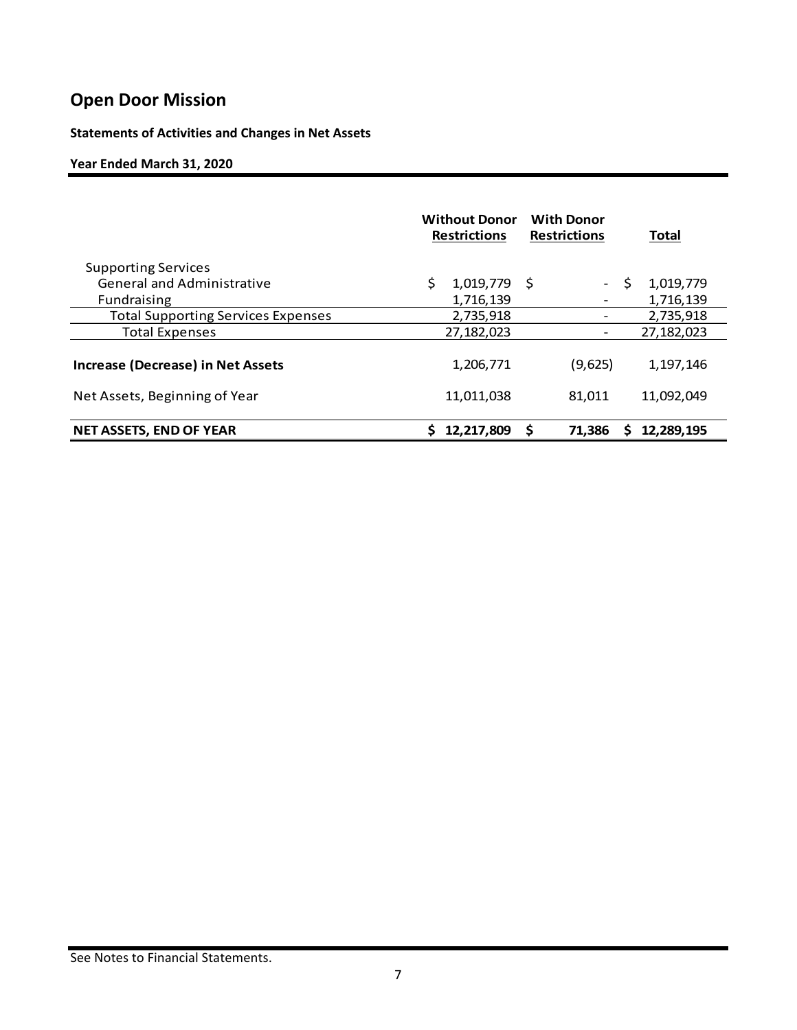## **Statements of Activities and Changes in Net Assets**

### **Year Ended March 31, 2020**

|                                           | <b>Without Donor</b><br><b>Restrictions</b> | <b>With Donor</b><br><b>Restrictions</b> | <b>Total</b>   |
|-------------------------------------------|---------------------------------------------|------------------------------------------|----------------|
| <b>Supporting Services</b>                |                                             |                                          |                |
| <b>General and Administrative</b>         | 1,019,779                                   | - S<br>$ \,$                             | S<br>1,019,779 |
| Fundraising                               | 1,716,139                                   |                                          | 1,716,139      |
| <b>Total Supporting Services Expenses</b> | 2,735,918                                   |                                          | 2,735,918      |
| <b>Total Expenses</b>                     | 27,182,023                                  |                                          | 27,182,023     |
| <b>Increase (Decrease) in Net Assets</b>  | 1,206,771                                   | (9,625)                                  | 1,197,146      |
| Net Assets, Beginning of Year             | 11,011,038                                  | 81.011                                   | 11,092,049     |
| <b>NET ASSETS, END OF YEAR</b>            | 12,217,809                                  | \$<br>71,386                             | 12,289,195     |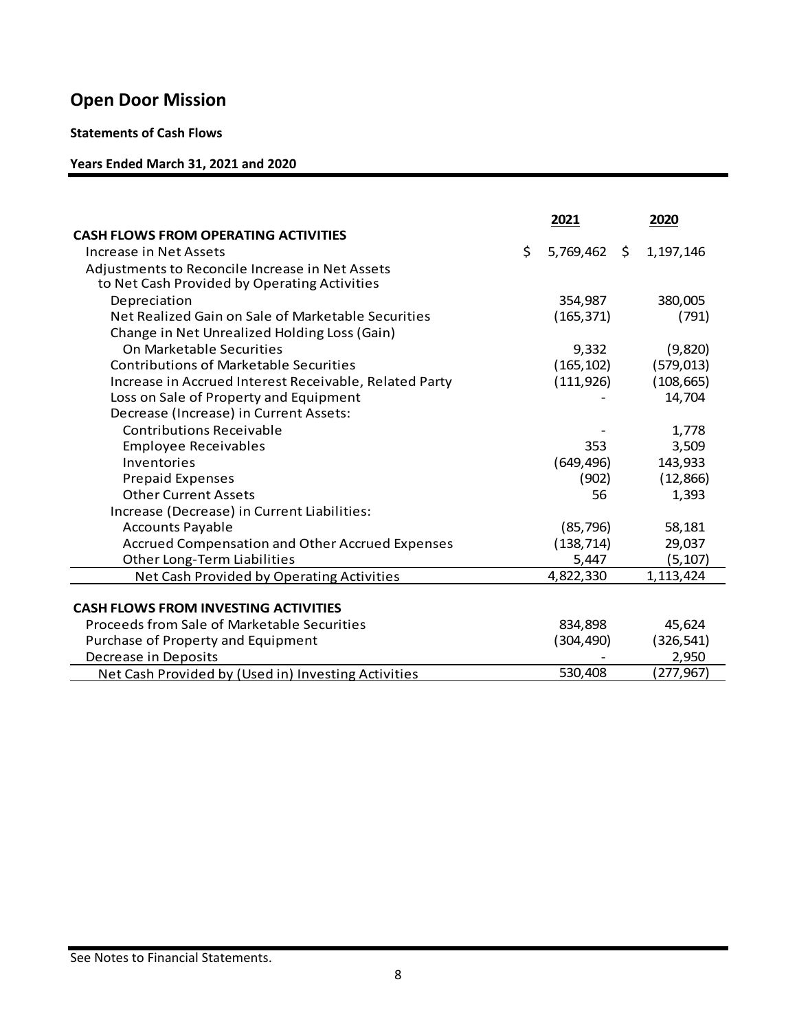### **Statements of Cash Flows**

## **Years Ended March 31, 2021 and 2020**

|                                                        | 2021            |      | 2020       |
|--------------------------------------------------------|-----------------|------|------------|
| <b>CASH FLOWS FROM OPERATING ACTIVITIES</b>            |                 |      |            |
| Increase in Net Assets                                 | \$<br>5,769,462 | - \$ | 1,197,146  |
| Adjustments to Reconcile Increase in Net Assets        |                 |      |            |
| to Net Cash Provided by Operating Activities           |                 |      |            |
| Depreciation                                           | 354,987         |      | 380,005    |
| Net Realized Gain on Sale of Marketable Securities     | (165, 371)      |      | (791)      |
| Change in Net Unrealized Holding Loss (Gain)           |                 |      |            |
| On Marketable Securities                               | 9,332           |      | (9,820)    |
| <b>Contributions of Marketable Securities</b>          | (165, 102)      |      | (579, 013) |
| Increase in Accrued Interest Receivable, Related Party | (111, 926)      |      | (108, 665) |
| Loss on Sale of Property and Equipment                 |                 |      | 14,704     |
| Decrease (Increase) in Current Assets:                 |                 |      |            |
| <b>Contributions Receivable</b>                        |                 |      | 1,778      |
| <b>Employee Receivables</b>                            | 353             |      | 3,509      |
| Inventories                                            | (649, 496)      |      | 143,933    |
| <b>Prepaid Expenses</b>                                | (902)           |      | (12, 866)  |
| <b>Other Current Assets</b>                            | 56              |      | 1,393      |
| Increase (Decrease) in Current Liabilities:            |                 |      |            |
| <b>Accounts Payable</b>                                | (85, 796)       |      | 58,181     |
| <b>Accrued Compensation and Other Accrued Expenses</b> | (138, 714)      |      | 29,037     |
| Other Long-Term Liabilities                            | 5,447           |      | (5, 107)   |
| Net Cash Provided by Operating Activities              | 4,822,330       |      | 1,113,424  |
|                                                        |                 |      |            |
| <b>CASH FLOWS FROM INVESTING ACTIVITIES</b>            |                 |      |            |
| Proceeds from Sale of Marketable Securities            | 834,898         |      | 45,624     |
| Purchase of Property and Equipment                     | (304, 490)      |      | (326, 541) |
| Decrease in Deposits                                   |                 |      | 2,950      |
| Net Cash Provided by (Used in) Investing Activities    | 530,408         |      | (277,967)  |

See Notes to Financial Statements.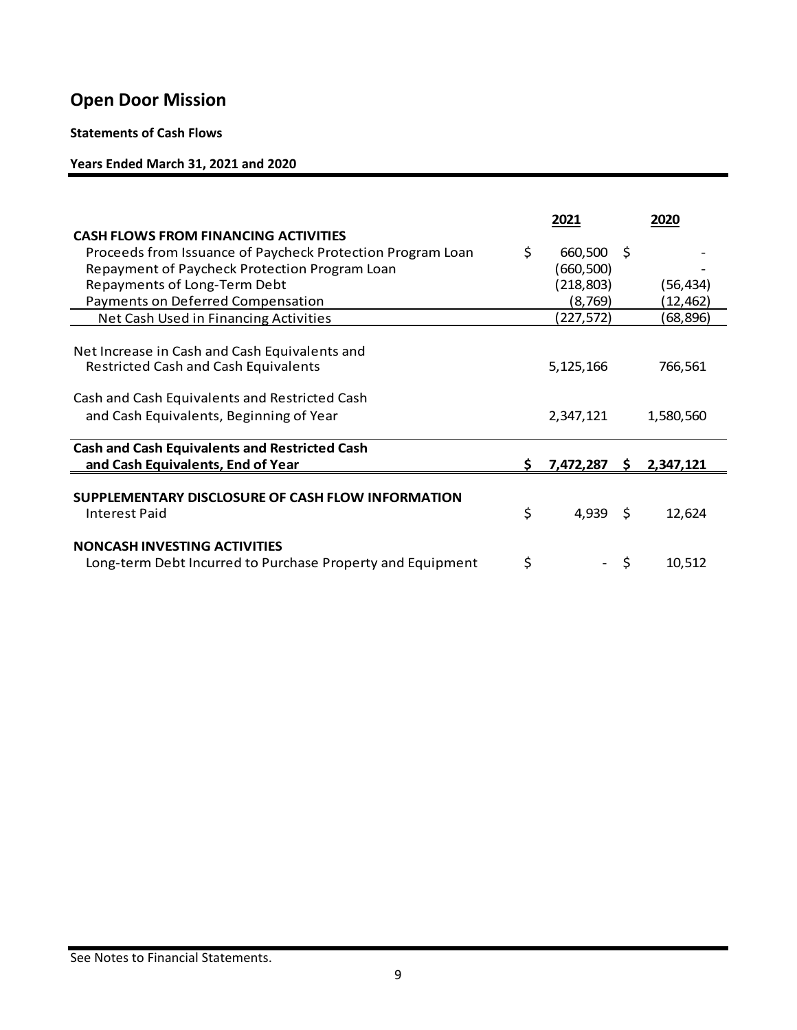### **Statements of Cash Flows**

## **Years Ended March 31, 2021 and 2020**

|                                                            |     | 2021       |     | 2020      |
|------------------------------------------------------------|-----|------------|-----|-----------|
| <b>CASH FLOWS FROM FINANCING ACTIVITIES</b>                |     |            |     |           |
| Proceeds from Issuance of Paycheck Protection Program Loan | \$. | 660,500    | - S |           |
| Repayment of Paycheck Protection Program Loan              |     | (660,500)  |     |           |
| Repayments of Long-Term Debt                               |     | (218, 803) |     | (56, 434) |
| Payments on Deferred Compensation                          |     | (8, 769)   |     | (12,462)  |
| <b>Net Cash Used in Financing Activities</b>               |     | (227,572)  |     | (68,896)  |
|                                                            |     |            |     |           |
| Net Increase in Cash and Cash Equivalents and              |     |            |     |           |
| <b>Restricted Cash and Cash Equivalents</b>                |     | 5,125,166  |     | 766,561   |
| Cash and Cash Equivalents and Restricted Cash              |     |            |     |           |
| and Cash Equivalents, Beginning of Year                    |     | 2,347,121  |     | 1,580,560 |
| <b>Cash and Cash Equivalents and Restricted Cash</b>       |     |            |     |           |
| and Cash Equivalents, End of Year                          |     | 7,472,287  | S.  | 2,347,121 |
|                                                            |     |            |     |           |
| SUPPLEMENTARY DISCLOSURE OF CASH FLOW INFORMATION          |     |            |     |           |
| Interest Paid                                              | \$  | $4,939$ \$ |     | 12,624    |
| <b>NONCASH INVESTING ACTIVITIES</b>                        |     |            |     |           |
| Long-term Debt Incurred to Purchase Property and Equipment | \$  |            | \$  | 10,512    |
|                                                            |     |            |     |           |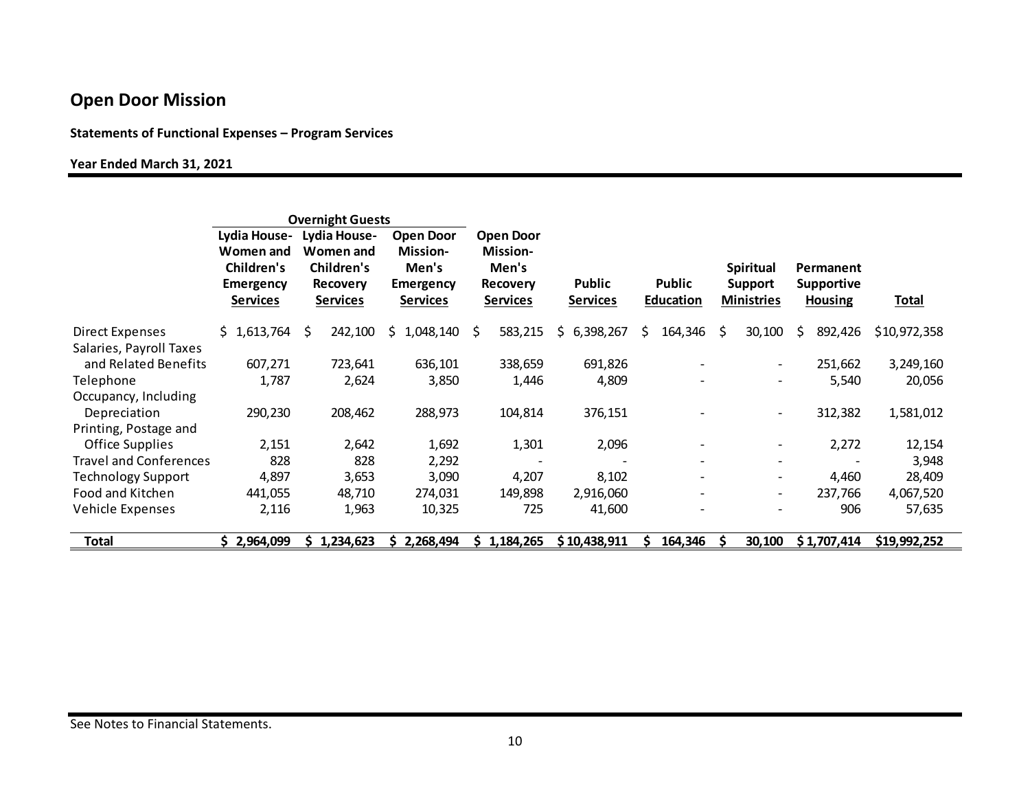### **Statements of Functional Expenses – Program Services**

#### **Year Ended March 31, 2021**

| <b>Overnight Guests</b>       |                                                                                |                                                                               |                                                                              |                                                                                    |                           |                                   |                                                         |                                                  |              |
|-------------------------------|--------------------------------------------------------------------------------|-------------------------------------------------------------------------------|------------------------------------------------------------------------------|------------------------------------------------------------------------------------|---------------------------|-----------------------------------|---------------------------------------------------------|--------------------------------------------------|--------------|
|                               | Lydia House-<br>Women and<br>Children's<br><b>Emergency</b><br><b>Services</b> | Lydia House-<br><b>Women and</b><br>Children's<br><b>Recovery</b><br>Services | <b>Open Door</b><br><b>Mission-</b><br>Men's<br><b>Emergency</b><br>Services | <b>Open Door</b><br><b>Mission-</b><br>Men's<br><b>Recovery</b><br><b>Services</b> | Public<br><b>Services</b> | <b>Public</b><br><b>Education</b> | <b>Spiritual</b><br><b>Support</b><br><b>Ministries</b> | Permanent<br><b>Supportive</b><br><b>Housing</b> | <b>Total</b> |
| <b>Direct Expenses</b>        | \$1,613,764                                                                    | 242,100<br>S.                                                                 | 1,048,140<br>S.                                                              | 583,215<br>S.                                                                      | 6,398,267<br>Ś.           | 164,346<br>Ś.                     | Ŝ<br>30,100                                             | 892,426<br>Ś.                                    | \$10,972,358 |
| Salaries, Payroll Taxes       |                                                                                |                                                                               |                                                                              |                                                                                    |                           |                                   |                                                         |                                                  |              |
| and Related Benefits          | 607,271                                                                        | 723,641                                                                       | 636,101                                                                      | 338,659                                                                            | 691,826                   |                                   | $\overline{\phantom{a}}$                                | 251,662                                          | 3,249,160    |
| Telephone                     | 1,787                                                                          | 2,624                                                                         | 3,850                                                                        | 1,446                                                                              | 4,809                     |                                   | $\overline{\phantom{a}}$                                | 5,540                                            | 20,056       |
| Occupancy, Including          |                                                                                |                                                                               |                                                                              |                                                                                    |                           |                                   |                                                         |                                                  |              |
| Depreciation                  | 290,230                                                                        | 208,462                                                                       | 288,973                                                                      | 104,814                                                                            | 376,151                   |                                   | $\overline{\phantom{a}}$                                | 312,382                                          | 1,581,012    |
| Printing, Postage and         |                                                                                |                                                                               |                                                                              |                                                                                    |                           |                                   |                                                         |                                                  |              |
| Office Supplies               | 2,151                                                                          | 2,642                                                                         | 1,692                                                                        | 1,301                                                                              | 2,096                     |                                   | $\overline{\phantom{a}}$                                | 2,272                                            | 12,154       |
| <b>Travel and Conferences</b> | 828                                                                            | 828                                                                           | 2,292                                                                        |                                                                                    |                           |                                   | $\overline{\phantom{a}}$                                |                                                  | 3,948        |
| <b>Technology Support</b>     | 4,897                                                                          | 3,653                                                                         | 3,090                                                                        | 4,207                                                                              | 8,102                     |                                   | $\overline{\phantom{a}}$                                | 4.460                                            | 28,409       |
| Food and Kitchen              | 441,055                                                                        | 48,710                                                                        | 274,031                                                                      | 149,898                                                                            | 2,916,060                 |                                   | $\overline{\phantom{a}}$                                | 237.766                                          | 4,067,520    |
| Vehicle Expenses              | 2,116                                                                          | 1,963                                                                         | 10,325                                                                       | 725                                                                                | 41,600                    |                                   |                                                         | 906                                              | 57,635       |
| Total                         | 2,964,099                                                                      | 1,234,623                                                                     | 2,268,494                                                                    | 1,184,265                                                                          | \$10,438,911              | 164,346                           | 30,100                                                  | \$1,707,414                                      | \$19,992,252 |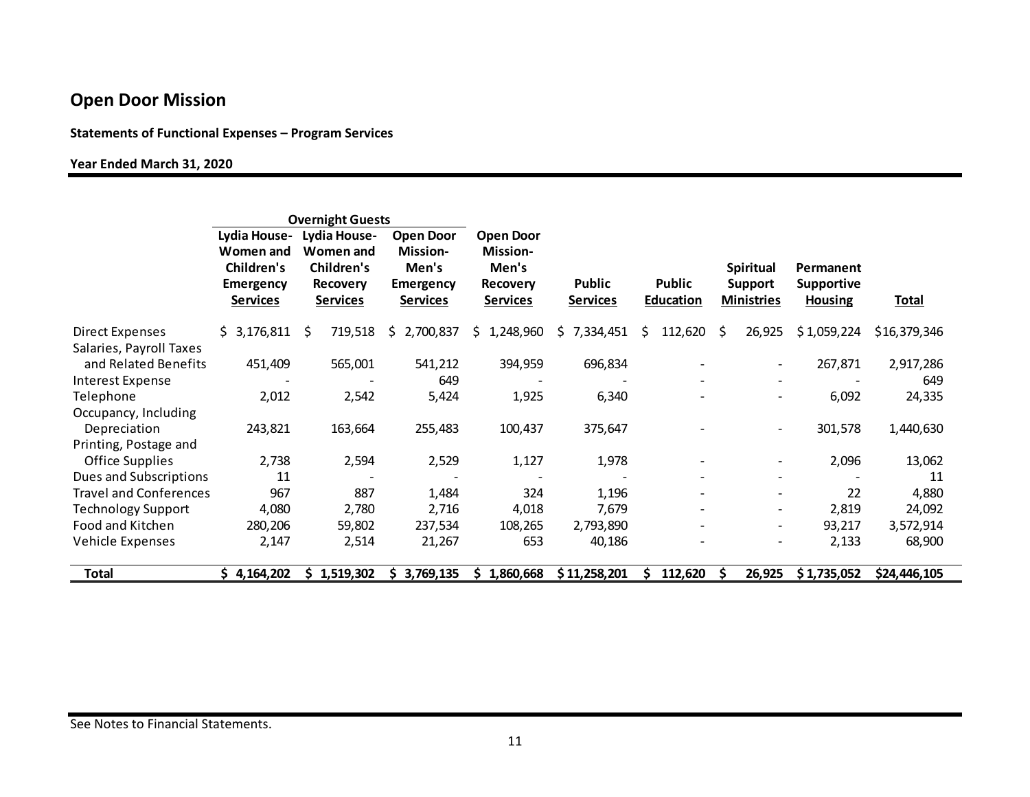### **Statements of Functional Expenses – Program Services**

#### **Year Ended March 31, 2020**

|                               | <b>Overnight Guests</b>                                                        |                                                                                      |                                                                              |                                                                             |                           |                                   |                                                         |                                                  |              |
|-------------------------------|--------------------------------------------------------------------------------|--------------------------------------------------------------------------------------|------------------------------------------------------------------------------|-----------------------------------------------------------------------------|---------------------------|-----------------------------------|---------------------------------------------------------|--------------------------------------------------|--------------|
|                               | Lydia House-<br><b>Women and</b><br>Children's<br><b>Emergency</b><br>Services | <b>Lydia House-</b><br>Women and<br>Children's<br><b>Recovery</b><br><b>Services</b> | <b>Open Door</b><br><b>Mission-</b><br>Men's<br><b>Emergency</b><br>Services | <b>Open Door</b><br>Mission-<br>Men's<br><b>Recovery</b><br><b>Services</b> | Public<br><b>Services</b> | <b>Public</b><br><b>Education</b> | <b>Spiritual</b><br><b>Support</b><br><b>Ministries</b> | Permanent<br><b>Supportive</b><br><b>Housing</b> | <b>Total</b> |
| Direct Expenses               | \$3,176,811                                                                    | 719,518<br>S.                                                                        | 2,700,837<br>S.                                                              | 1,248,960<br>S.                                                             | 7,334,451<br>S.           | 112,620<br>S.                     | 26,925<br>\$                                            | \$1,059,224                                      | \$16,379,346 |
| Salaries, Payroll Taxes       |                                                                                |                                                                                      |                                                                              |                                                                             |                           |                                   |                                                         |                                                  |              |
| and Related Benefits          | 451,409                                                                        | 565,001                                                                              | 541,212                                                                      | 394,959                                                                     | 696,834                   |                                   |                                                         | 267,871                                          | 2,917,286    |
| Interest Expense              |                                                                                |                                                                                      | 649                                                                          |                                                                             |                           |                                   |                                                         |                                                  | 649          |
| Telephone                     | 2,012                                                                          | 2,542                                                                                | 5,424                                                                        | 1,925                                                                       | 6,340                     |                                   | $\overline{\phantom{a}}$                                | 6,092                                            | 24,335       |
| Occupancy, Including          |                                                                                |                                                                                      |                                                                              |                                                                             |                           |                                   |                                                         |                                                  |              |
| Depreciation                  | 243,821                                                                        | 163,664                                                                              | 255,483                                                                      | 100,437                                                                     | 375,647                   |                                   | $\overline{\phantom{a}}$                                | 301,578                                          | 1,440,630    |
| Printing, Postage and         |                                                                                |                                                                                      |                                                                              |                                                                             |                           |                                   |                                                         |                                                  |              |
| <b>Office Supplies</b>        | 2,738                                                                          | 2,594                                                                                | 2,529                                                                        | 1,127                                                                       | 1,978                     |                                   | $\overline{\phantom{a}}$                                | 2,096                                            | 13,062       |
| Dues and Subscriptions        | 11                                                                             |                                                                                      |                                                                              |                                                                             |                           |                                   |                                                         |                                                  | 11           |
| <b>Travel and Conferences</b> | 967                                                                            | 887                                                                                  | 1,484                                                                        | 324                                                                         | 1,196                     |                                   | $\overline{\phantom{a}}$                                | 22                                               | 4,880        |
| <b>Technology Support</b>     | 4,080                                                                          | 2,780                                                                                | 2,716                                                                        | 4,018                                                                       | 7,679                     |                                   | $\overline{\phantom{a}}$                                | 2,819                                            | 24,092       |
| Food and Kitchen              | 280,206                                                                        | 59,802                                                                               | 237,534                                                                      | 108,265                                                                     | 2,793,890                 |                                   | $\overline{\phantom{a}}$                                | 93,217                                           | 3,572,914    |
| Vehicle Expenses              | 2,147                                                                          | 2,514                                                                                | 21,267                                                                       | 653                                                                         | 40,186                    |                                   |                                                         | 2,133                                            | 68,900       |
| Total                         | \$4,164,202                                                                    | 1,519,302                                                                            | 3,769,135                                                                    | 1,860,668                                                                   | \$11,258,201              | 112,620                           | 26,925                                                  | \$1,735,052                                      | \$24,446,105 |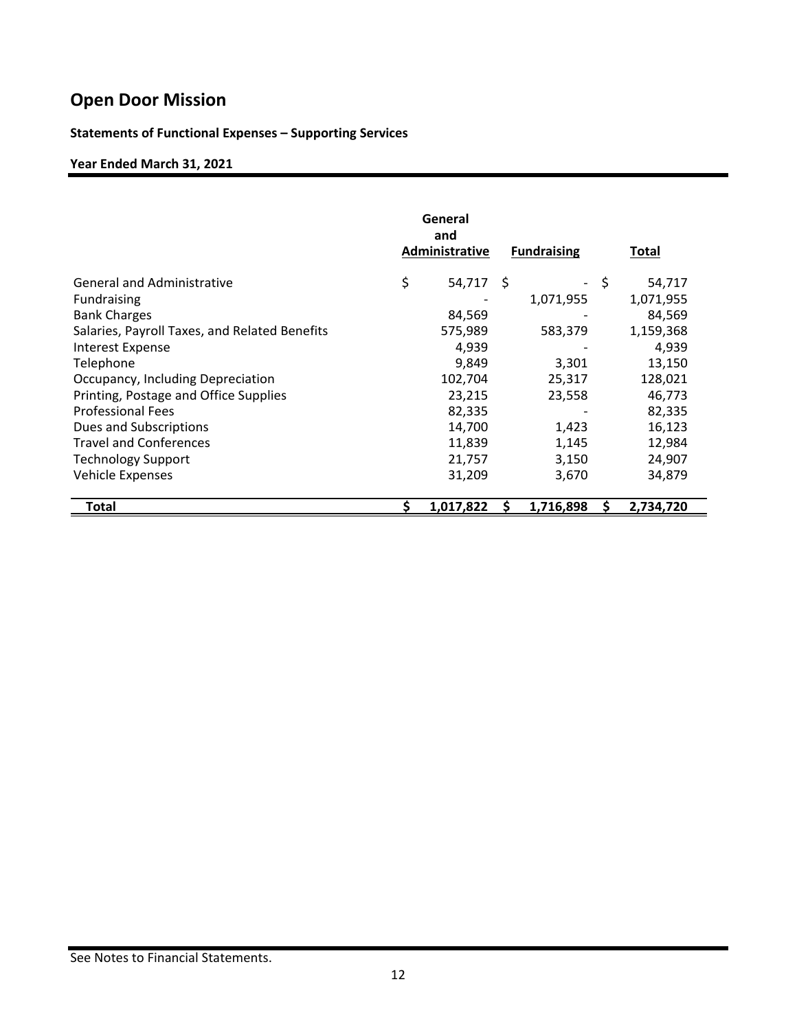## **Statements of Functional Expenses – Supporting Services**

## **Year Ended March 31, 2021**

|                                               | General<br>and<br>Administrative | <b>Fundraising</b> |     | Total     |
|-----------------------------------------------|----------------------------------|--------------------|-----|-----------|
| <b>General and Administrative</b>             | \$<br>54,717 \$                  |                    | -\$ | 54,717    |
| <b>Fundraising</b>                            |                                  | 1,071,955          |     | 1,071,955 |
| <b>Bank Charges</b>                           | 84,569                           |                    |     | 84,569    |
| Salaries, Payroll Taxes, and Related Benefits | 575,989                          | 583,379            |     | 1,159,368 |
| <b>Interest Expense</b>                       | 4,939                            |                    |     | 4,939     |
| Telephone                                     | 9,849                            | 3,301              |     | 13,150    |
| Occupancy, Including Depreciation             | 102,704                          | 25,317             |     | 128,021   |
| Printing, Postage and Office Supplies         | 23,215                           | 23,558             |     | 46,773    |
| <b>Professional Fees</b>                      | 82,335                           |                    |     | 82,335    |
| Dues and Subscriptions                        | 14,700                           | 1,423              |     | 16,123    |
| <b>Travel and Conferences</b>                 | 11,839                           | 1,145              |     | 12,984    |
| <b>Technology Support</b>                     | 21,757                           | 3,150              |     | 24,907    |
| <b>Vehicle Expenses</b>                       | 31,209                           | 3,670              |     | 34,879    |
| Total                                         | 1,017,822                        | 1,716,898          |     | 2,734,720 |

See Notes to Financial Statements.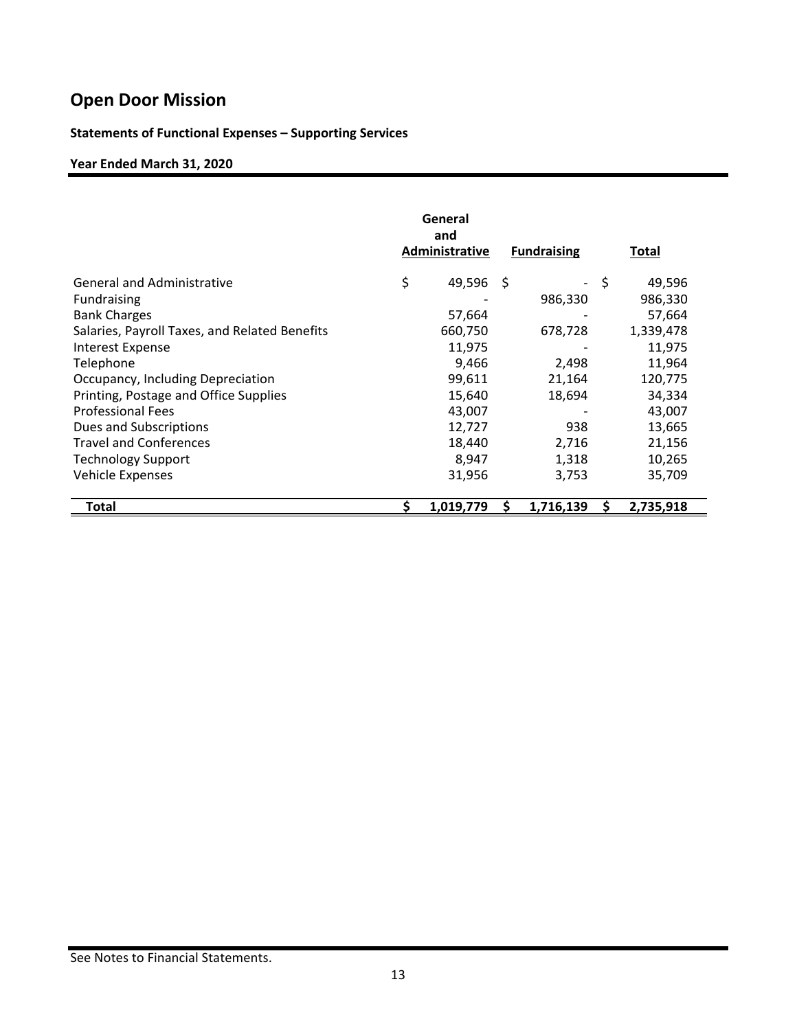## **Statements of Functional Expenses – Supporting Services**

## **Year Ended March 31, 2020**

|                                               | General<br>and<br>Administrative | <b>Fundraising</b> |     | <u>Total</u> |
|-----------------------------------------------|----------------------------------|--------------------|-----|--------------|
| <b>General and Administrative</b>             | \$<br>49,596                     | - \$<br>-          | -\$ | 49,596       |
| <b>Fundraising</b>                            |                                  | 986,330            |     | 986,330      |
| <b>Bank Charges</b>                           | 57,664                           |                    |     | 57,664       |
| Salaries, Payroll Taxes, and Related Benefits | 660,750                          | 678,728            |     | 1,339,478    |
| Interest Expense                              | 11,975                           |                    |     | 11,975       |
| Telephone                                     | 9,466                            | 2,498              |     | 11,964       |
| Occupancy, Including Depreciation             | 99,611                           | 21,164             |     | 120,775      |
| Printing, Postage and Office Supplies         | 15,640                           | 18,694             |     | 34,334       |
| <b>Professional Fees</b>                      | 43,007                           |                    |     | 43,007       |
| Dues and Subscriptions                        | 12,727                           | 938                |     | 13,665       |
| <b>Travel and Conferences</b>                 | 18,440                           | 2,716              |     | 21,156       |
| <b>Technology Support</b>                     | 8,947                            | 1,318              |     | 10,265       |
| Vehicle Expenses                              | 31,956                           | 3,753              |     | 35,709       |
| Total                                         | 1,019,779                        | 1,716,139          |     | 2,735,918    |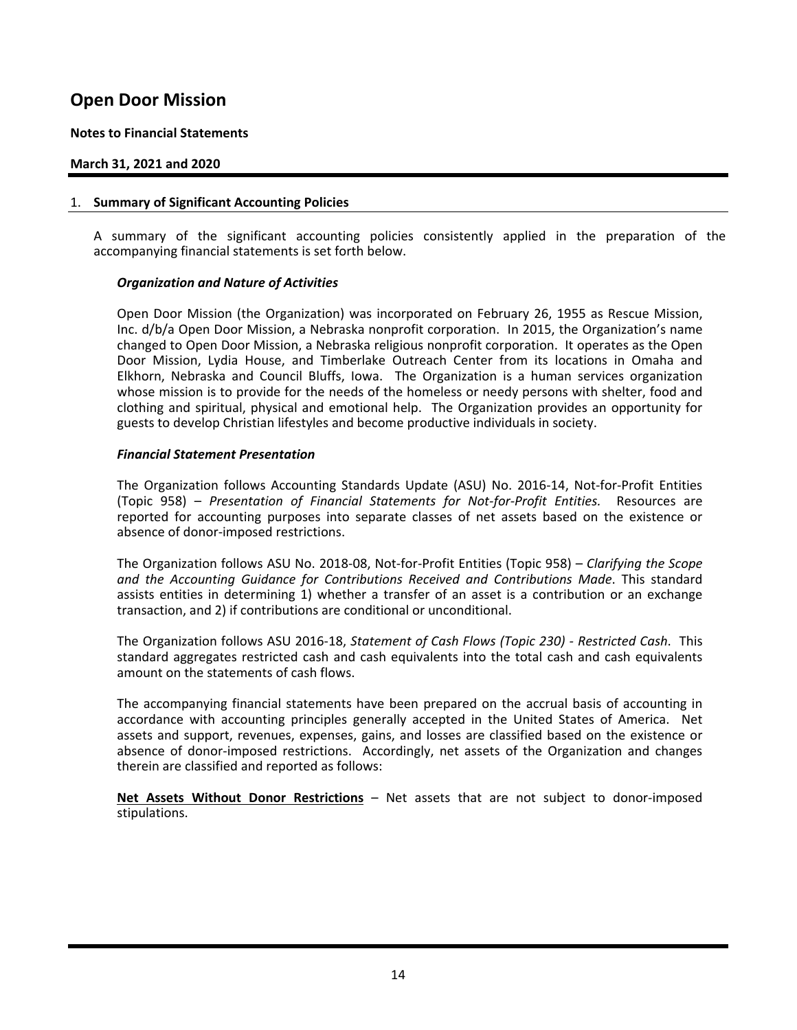#### **Notes to Financial Statements**

#### **March 31, 2021 and 2020**

#### 1. **Summary of Significant Accounting Policies**

 A summary of the significant accounting policies consistently applied in the preparation of the accompanying financial statements is set forth below.

#### *Organization and Nature of Activities*

 Open Door Mission (the Organization) was incorporated on February 26, 1955 as Rescue Mission, Inc. d/b/a Open Door Mission, a Nebraska nonprofit corporation. In 2015, the Organization's name changed to Open Door Mission, a Nebraska religious nonprofit corporation. It operates as the Open Door Mission, Lydia House, and Timberlake Outreach Center from its locations in Omaha and Elkhorn, Nebraska and Council Bluffs, Iowa. The Organization is a human services organization whose mission is to provide for the needs of the homeless or needy persons with shelter, food and clothing and spiritual, physical and emotional help. The Organization provides an opportunity for guests to develop Christian lifestyles and become productive individuals in society.

#### *Financial Statement Presentation*

 The Organization follows Accounting Standards Update (ASU) No. 2016‐14, Not‐for‐Profit Entities (Topic 958) – *Presentation of Financial Statements for Not‐for‐Profit Entities.* Resources are reported for accounting purposes into separate classes of net assets based on the existence or absence of donor‐imposed restrictions.

 The Organization follows ASU No. 2018‐08, Not‐for‐Profit Entities (Topic 958) – *Clarifying the Scope and the Accounting Guidance for Contributions Received and Contributions Made*. This standard assists entities in determining 1) whether a transfer of an asset is a contribution or an exchange transaction, and 2) if contributions are conditional or unconditional.

 The Organization follows ASU 2016‐18, *Statement of Cash Flows (Topic 230) ‐ Restricted Cash*. This standard aggregates restricted cash and cash equivalents into the total cash and cash equivalents amount on the statements of cash flows.

The accompanying financial statements have been prepared on the accrual basis of accounting in accordance with accounting principles generally accepted in the United States of America. Net assets and support, revenues, expenses, gains, and losses are classified based on the existence or absence of donor-imposed restrictions. Accordingly, net assets of the Organization and changes therein are classified and reported as follows:

**Net Assets Without Donor Restrictions** – Net assets that are not subject to donor-imposed stipulations.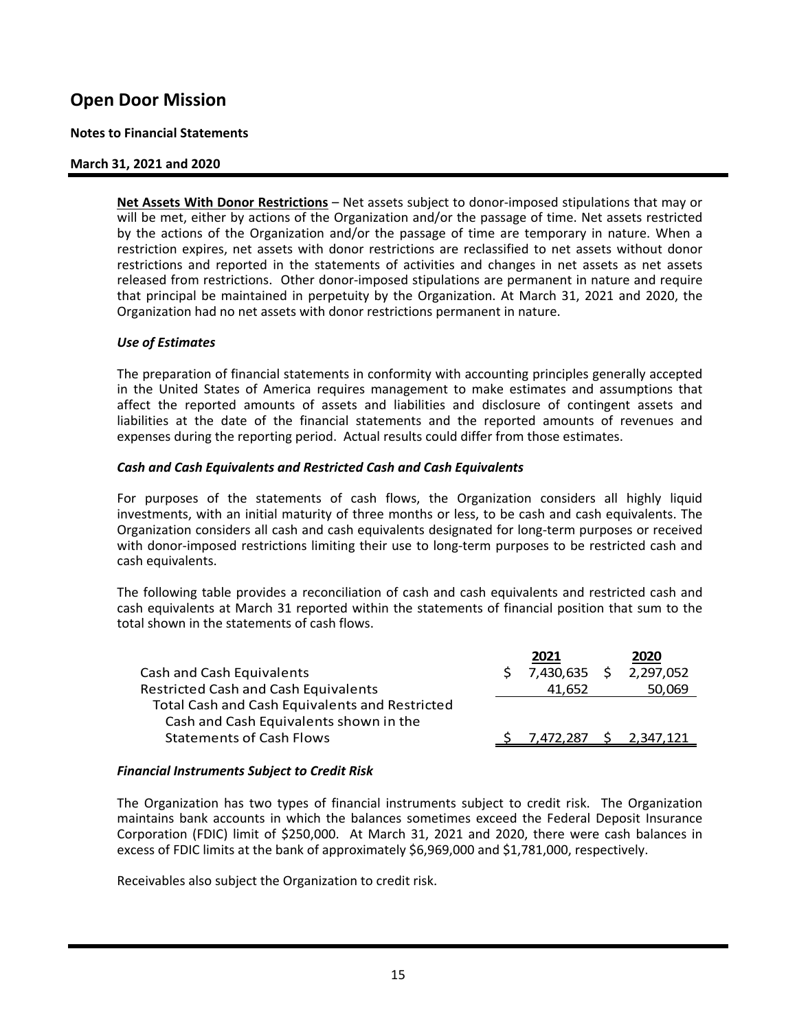#### **Notes to Financial Statements**

#### **March 31, 2021 and 2020**

Net Assets With Donor Restrictions - Net assets subject to donor-imposed stipulations that may or will be met, either by actions of the Organization and/or the passage of time. Net assets restricted by the actions of the Organization and/or the passage of time are temporary in nature. When a restriction expires, net assets with donor restrictions are reclassified to net assets without donor restrictions and reported in the statements of activities and changes in net assets as net assets released from restrictions. Other donor-imposed stipulations are permanent in nature and require that principal be maintained in perpetuity by the Organization. At March 31, 2021 and 2020, the Organization had no net assets with donor restrictions permanent in nature.

#### *Use of Estimates*

 The preparation of financial statements in conformity with accounting principles generally accepted in the United States of America requires management to make estimates and assumptions that affect the reported amounts of assets and liabilities and disclosure of contingent assets and liabilities at the date of the financial statements and the reported amounts of revenues and expenses during the reporting period. Actual results could differ from those estimates.

#### *Cash and Cash Equivalents and Restricted Cash and Cash Equivalents*

For purposes of the statements of cash flows, the Organization considers all highly liquid investments, with an initial maturity of three months or less, to be cash and cash equivalents. The Organization considers all cash and cash equivalents designated for long‐term purposes or received with donor-imposed restrictions limiting their use to long-term purposes to be restricted cash and cash equivalents.

 The following table provides a reconciliation of cash and cash equivalents and restricted cash and cash equivalents at March 31 reported within the statements of financial position that sum to the total shown in the statements of cash flows.

|                                                | 2021         | 2020      |
|------------------------------------------------|--------------|-----------|
| Cash and Cash Equivalents                      | 7,430,635 \$ | 2,297,052 |
| <b>Restricted Cash and Cash Equivalents</b>    | 41.652       | 50,069    |
| Total Cash and Cash Equivalents and Restricted |              |           |
| Cash and Cash Equivalents shown in the         |              |           |
| <b>Statements of Cash Flows</b>                | 7.472.287 S  | 2,347,121 |
|                                                |              |           |

#### *Financial Instruments Subject to Credit Risk*

The Organization has two types of financial instruments subject to credit risk. The Organization maintains bank accounts in which the balances sometimes exceed the Federal Deposit Insurance Corporation (FDIC) limit of \$250,000. At March 31, 2021 and 2020, there were cash balances in excess of FDIC limits at the bank of approximately \$6,969,000 and \$1,781,000, respectively.

Receivables also subject the Organization to credit risk.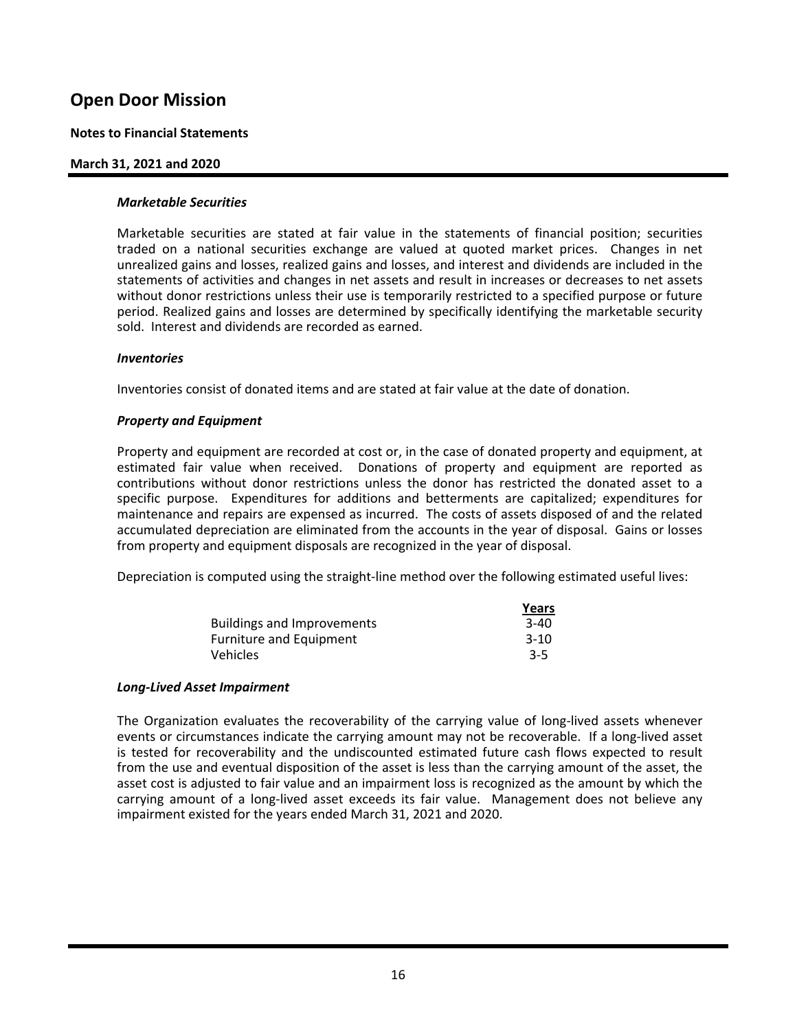#### **Notes to Financial Statements**

#### **March 31, 2021 and 2020**

#### *Marketable Securities*

 Marketable securities are stated at fair value in the statements of financial position; securities traded on a national securities exchange are valued at quoted market prices. Changes in net unrealized gains and losses, realized gains and losses, and interest and dividends are included in the statements of activities and changes in net assets and result in increases or decreases to net assets without donor restrictions unless their use is temporarily restricted to a specified purpose or future period. Realized gains and losses are determined by specifically identifying the marketable security sold. Interest and dividends are recorded as earned.

#### *Inventories*

Inventories consist of donated items and are stated at fair value at the date of donation.

#### *Property and Equipment*

Property and equipment are recorded at cost or, in the case of donated property and equipment, at estimated fair value when received. Donations of property and equipment are reported as contributions without donor restrictions unless the donor has restricted the donated asset to a specific purpose. Expenditures for additions and betterments are capitalized; expenditures for maintenance and repairs are expensed as incurred. The costs of assets disposed of and the related accumulated depreciation are eliminated from the accounts in the year of disposal. Gains or losses from property and equipment disposals are recognized in the year of disposal.

Depreciation is computed using the straight-line method over the following estimated useful lives:

|                            | <u>Years</u> |
|----------------------------|--------------|
| Buildings and Improvements | $3-40$       |
| Furniture and Equipment    | $3-10$       |
| <b>Vehicles</b>            | $3-5$        |

#### *Long‐Lived Asset Impairment*

The Organization evaluates the recoverability of the carrying value of long‐lived assets whenever events or circumstances indicate the carrying amount may not be recoverable. If a long-lived asset is tested for recoverability and the undiscounted estimated future cash flows expected to result from the use and eventual disposition of the asset is less than the carrying amount of the asset, the asset cost is adjusted to fair value and an impairment loss is recognized as the amount by which the carrying amount of a long-lived asset exceeds its fair value. Management does not believe any impairment existed for the years ended March 31, 2021 and 2020.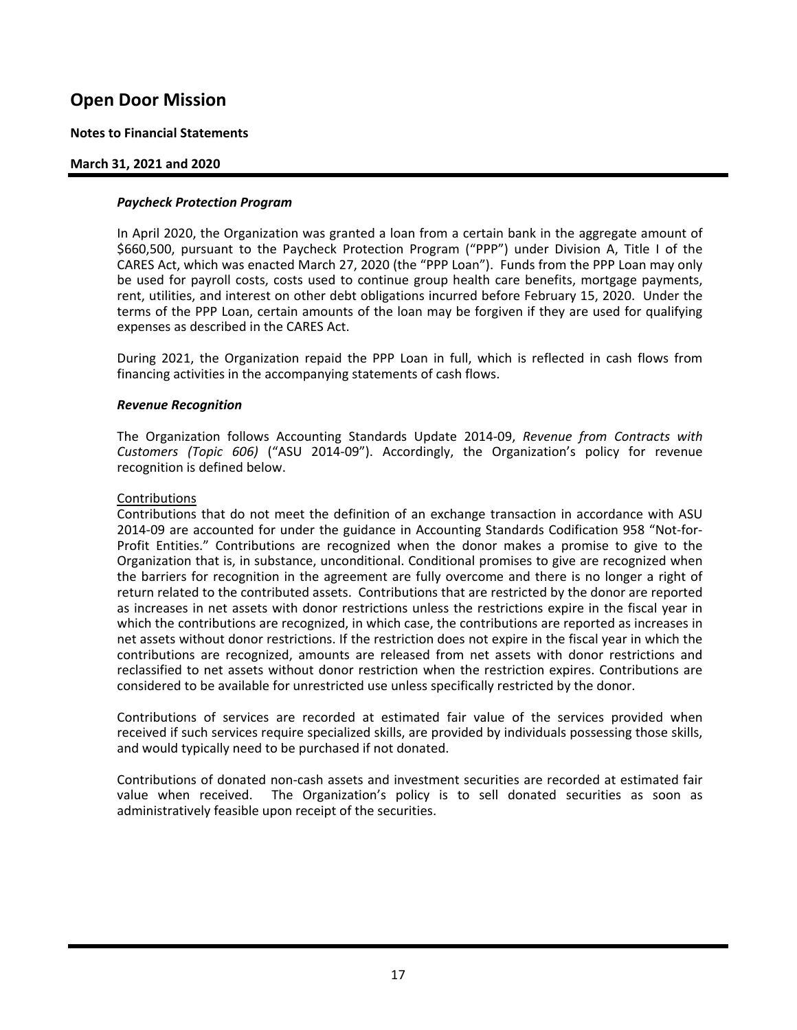#### **Notes to Financial Statements**

#### **March 31, 2021 and 2020**

#### *Paycheck Protection Program*

 In April 2020, the Organization was granted a loan from a certain bank in the aggregate amount of \$660,500, pursuant to the Paycheck Protection Program ("PPP") under Division A, Title I of the CARES Act, which was enacted March 27, 2020 (the "PPP Loan"). Funds from the PPP Loan may only be used for payroll costs, costs used to continue group health care benefits, mortgage payments, rent, utilities, and interest on other debt obligations incurred before February 15, 2020. Under the terms of the PPP Loan, certain amounts of the loan may be forgiven if they are used for qualifying expenses as described in the CARES Act.

 During 2021, the Organization repaid the PPP Loan in full, which is reflected in cash flows from financing activities in the accompanying statements of cash flows.

#### *Revenue Recognition*

The Organization follows Accounting Standards Update 2014‐09, *Revenue from Contracts with Customers (Topic 606)* ("ASU 2014‐09"). Accordingly, the Organization's policy for revenue recognition is defined below.

#### Contributions

 Contributions that do not meet the definition of an exchange transaction in accordance with ASU 2014‐09 are accounted for under the guidance in Accounting Standards Codification 958 "Not‐for‐ Profit Entities." Contributions are recognized when the donor makes a promise to give to the Organization that is, in substance, unconditional. Conditional promises to give are recognized when the barriers for recognition in the agreement are fully overcome and there is no longer a right of return related to the contributed assets. Contributions that are restricted by the donor are reported as increases in net assets with donor restrictions unless the restrictions expire in the fiscal year in which the contributions are recognized, in which case, the contributions are reported as increases in net assets without donor restrictions. If the restriction does not expire in the fiscal year in which the contributions are recognized, amounts are released from net assets with donor restrictions and reclassified to net assets without donor restriction when the restriction expires. Contributions are considered to be available for unrestricted use unless specifically restricted by the donor.

 Contributions of services are recorded at estimated fair value of the services provided when received if such services require specialized skills, are provided by individuals possessing those skills, and would typically need to be purchased if not donated.

 Contributions of donated non‐cash assets and investment securities are recorded at estimated fair value when received. The Organization's policy is to sell donated securities as soon as administratively feasible upon receipt of the securities.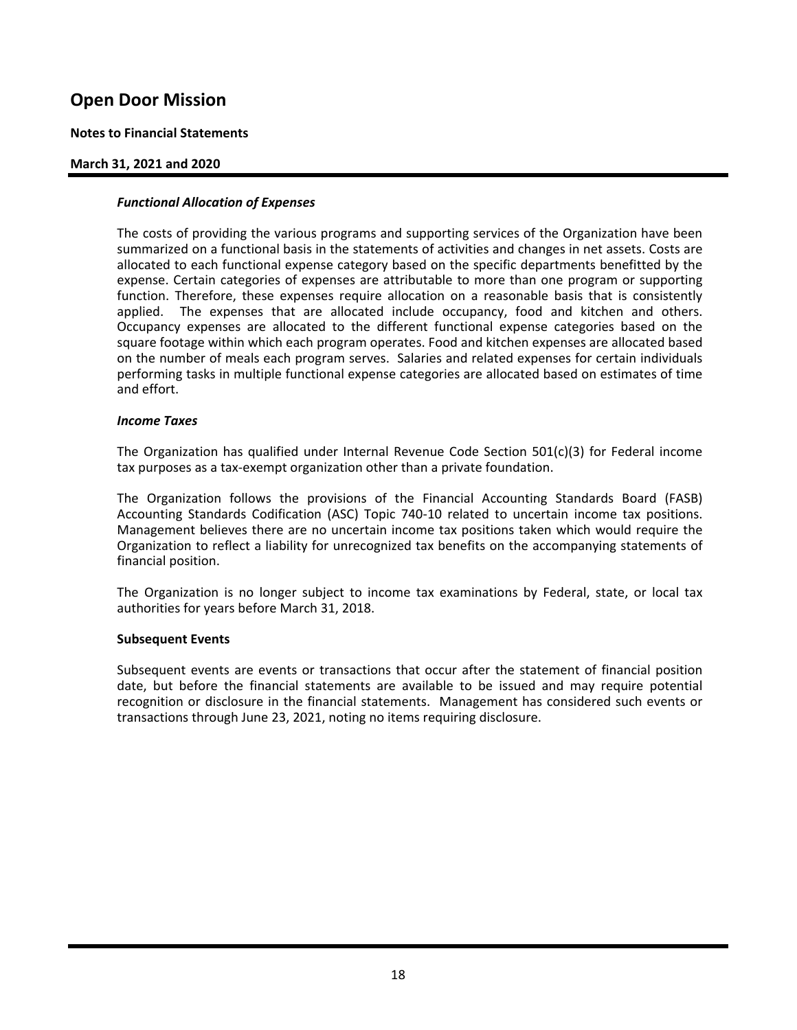#### **Notes to Financial Statements**

#### **March 31, 2021 and 2020**

#### *Functional Allocation of Expenses*

 The costs of providing the various programs and supporting services of the Organization have been summarized on a functional basis in the statements of activities and changes in net assets. Costs are allocated to each functional expense category based on the specific departments benefitted by the expense. Certain categories of expenses are attributable to more than one program or supporting function. Therefore, these expenses require allocation on a reasonable basis that is consistently applied. The expenses that are allocated include occupancy, food and kitchen and others. Occupancy expenses are allocated to the different functional expense categories based on the square footage within which each program operates. Food and kitchen expenses are allocated based on the number of meals each program serves. Salaries and related expenses for certain individuals performing tasks in multiple functional expense categories are allocated based on estimates of time and effort.

#### *Income Taxes*

The Organization has qualified under Internal Revenue Code Section 501(c)(3) for Federal income tax purposes as a tax‐exempt organization other than a private foundation.

 The Organization follows the provisions of the Financial Accounting Standards Board (FASB) Accounting Standards Codification (ASC) Topic 740-10 related to uncertain income tax positions. Management believes there are no uncertain income tax positions taken which would require the Organization to reflect a liability for unrecognized tax benefits on the accompanying statements of financial position.

The Organization is no longer subject to income tax examinations by Federal, state, or local tax authorities for years before March 31, 2018.

#### **Subsequent Events**

Subsequent events are events or transactions that occur after the statement of financial position date, but before the financial statements are available to be issued and may require potential recognition or disclosure in the financial statements. Management has considered such events or transactions through June 23, 2021, noting no items requiring disclosure.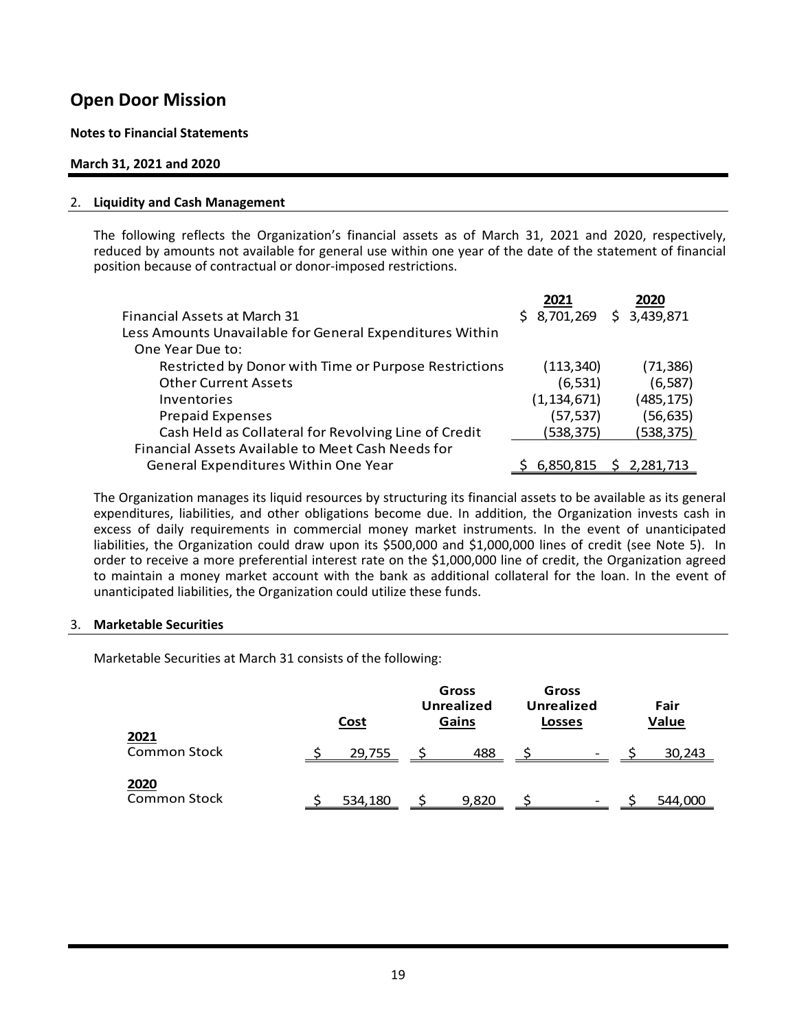#### **Notes to Financial Statements**

#### **March 31, 2021 and 2020**

#### 2. **Liquidity and Cash Management**

The following reflects the Organization's financial assets as of March 31, 2021 and 2020, respectively, reduced by amounts not available for general use within one year of the date of the statement of financial position because of contractual or donor‐imposed restrictions.

|                                                          | 2021          | 2020        |
|----------------------------------------------------------|---------------|-------------|
| <b>Financial Assets at March 31</b>                      | \$8,701,269   | \$3,439,871 |
| Less Amounts Unavailable for General Expenditures Within |               |             |
| One Year Due to:                                         |               |             |
| Restricted by Donor with Time or Purpose Restrictions    | (113, 340)    | (71, 386)   |
| <b>Other Current Assets</b>                              | (6, 531)      | (6, 587)    |
| Inventories                                              | (1, 134, 671) | (485, 175)  |
| <b>Prepaid Expenses</b>                                  | (57, 537)     | (56, 635)   |
| Cash Held as Collateral for Revolving Line of Credit     | (538, 375)    | (538, 375)  |
| Financial Assets Available to Meet Cash Needs for        |               |             |
| General Expenditures Within One Year                     | 6,850,815     | \$2,281,713 |

The Organization manages its liquid resources by structuring its financial assets to be available as its general expenditures, liabilities, and other obligations become due. In addition, the Organization invests cash in excess of daily requirements in commercial money market instruments. In the event of unanticipated liabilities, the Organization could draw upon its \$500,000 and \$1,000,000 lines of credit (see Note 5). In order to receive a more preferential interest rate on the \$1,000,000 line of credit, the Organization agreed to maintain a money market account with the bank as additional collateral for the loan. In the event of unanticipated liabilities, the Organization could utilize these funds.

#### 3. **Marketable Securities**

Marketable Securities at March 31 consists of the following:

|                             | <b>Cost</b> |         | Gross<br><b>Unrealized</b><br>Gains | Gross<br><b>Unrealized</b><br><b>Losses</b> |                          | Fair<br>Value |         |  |
|-----------------------------|-------------|---------|-------------------------------------|---------------------------------------------|--------------------------|---------------|---------|--|
| 2021<br><b>Common Stock</b> |             | 29,755  | 488                                 |                                             | $\overline{\phantom{0}}$ |               | 30,243  |  |
| 2020<br><b>Common Stock</b> |             | 534,180 | 9,820                               |                                             | -                        |               | 544,000 |  |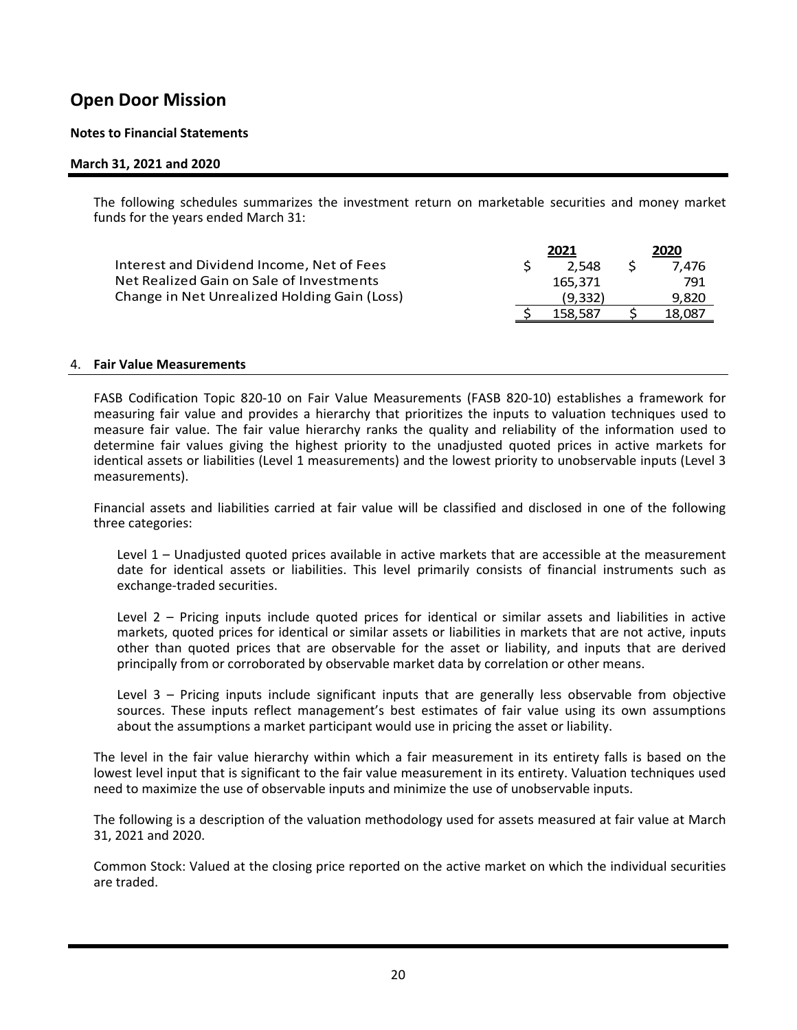#### **Notes to Financial Statements**

#### **March 31, 2021 and 2020**

 The following schedules summarizes the investment return on marketable securities and money market funds for the years ended March 31:

|                                              | 2021 |         |  | 2020   |
|----------------------------------------------|------|---------|--|--------|
| Interest and Dividend Income, Net of Fees    |      | 2.548   |  | 7.476  |
| Net Realized Gain on Sale of Investments     |      | 165.371 |  | 791    |
| Change in Net Unrealized Holding Gain (Loss) |      | (9.332) |  | 9.820  |
|                                              |      | 158.587 |  | 18,087 |

#### 4. **Fair Value Measurements**

 FASB Codification Topic 820‐10 on Fair Value Measurements (FASB 820‐10) establishes a framework for measuring fair value and provides a hierarchy that prioritizes the inputs to valuation techniques used to measure fair value. The fair value hierarchy ranks the quality and reliability of the information used to determine fair values giving the highest priority to the unadjusted quoted prices in active markets for identical assets or liabilities (Level 1 measurements) and the lowest priority to unobservable inputs (Level 3 measurements).

 Financial assets and liabilities carried at fair value will be classified and disclosed in one of the following three categories:

 Level 1 – Unadjusted quoted prices available in active markets that are accessible at the measurement date for identical assets or liabilities. This level primarily consists of financial instruments such as exchange‐traded securities.

Level 2 – Pricing inputs include quoted prices for identical or similar assets and liabilities in active markets, quoted prices for identical or similar assets or liabilities in markets that are not active, inputs other than quoted prices that are observable for the asset or liability, and inputs that are derived principally from or corroborated by observable market data by correlation or other means.

Level 3 – Pricing inputs include significant inputs that are generally less observable from objective sources. These inputs reflect management's best estimates of fair value using its own assumptions about the assumptions a market participant would use in pricing the asset or liability.

The level in the fair value hierarchy within which a fair measurement in its entirety falls is based on the lowest level input that is significant to the fair value measurement in its entirety. Valuation techniques used need to maximize the use of observable inputs and minimize the use of unobservable inputs.

 The following is a description of the valuation methodology used for assets measured at fair value at March 31, 2021 and 2020.

 Common Stock: Valued at the closing price reported on the active market on which the individual securities are traded.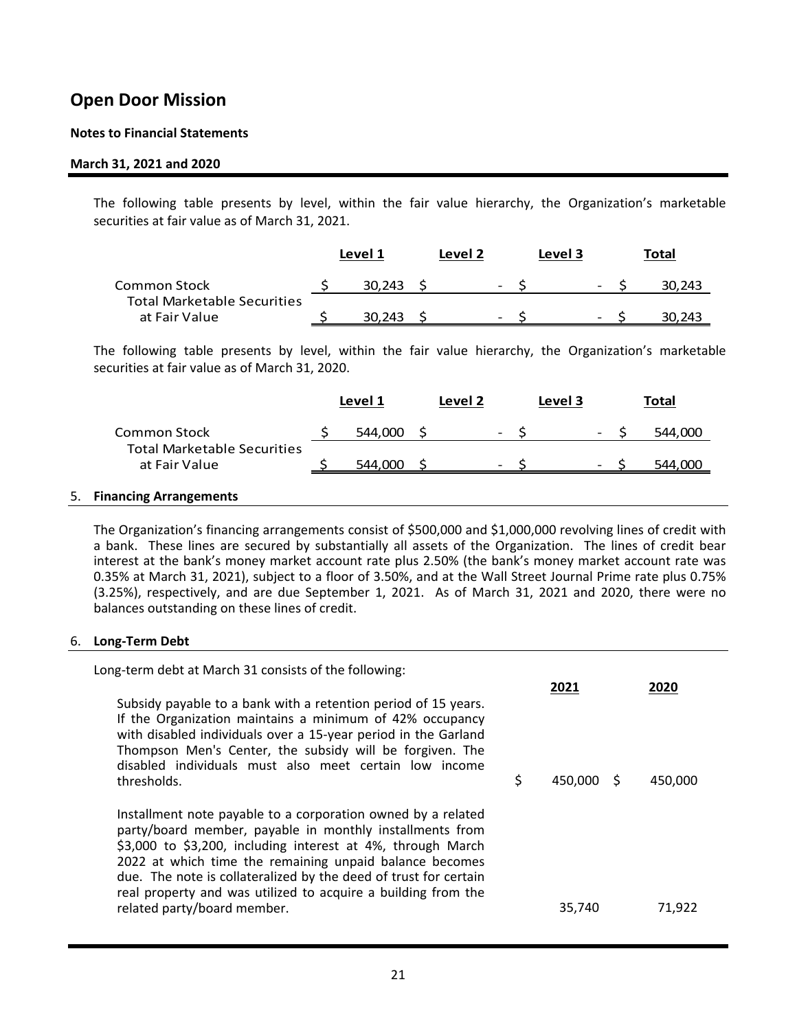#### **Notes to Financial Statements**

#### **March 31, 2021 and 2020**

 The following table presents by level, within the fair value hierarchy, the Organization's marketable securities at fair value as of March 31, 2021.

|                                                     | Level 2<br>Level 1 |        |  | Level 3                  |  | Total                        |        |
|-----------------------------------------------------|--------------------|--------|--|--------------------------|--|------------------------------|--------|
| Common Stock                                        |                    | 30.243 |  | $\overline{\phantom{a}}$ |  | $\overline{\phantom{a}}$     | 30.243 |
| <b>Total Marketable Securities</b><br>at Fair Value |                    | 30.243 |  | $\overline{\phantom{0}}$ |  | $\qquad \qquad \blacksquare$ | 243    |

 The following table presents by level, within the fair value hierarchy, the Organization's marketable securities at fair value as of March 31, 2020.

|                                                    | Level 1 | Level 2 |                          | Level 3 |                          | Total   |
|----------------------------------------------------|---------|---------|--------------------------|---------|--------------------------|---------|
| Common Stock<br><b>Total Marketable Securities</b> | 544.000 |         | $\overline{\phantom{a}}$ |         | $\overline{\phantom{a}}$ | 544.000 |
| at Fair Value                                      | 544,000 |         | $\overline{\phantom{0}}$ |         | $\overline{\phantom{0}}$ | 544.000 |

#### 5. **Financing Arrangements**

 The Organization's financing arrangements consist of \$500,000 and \$1,000,000 revolving lines of credit with a bank. These lines are secured by substantially all assets of the Organization. The lines of credit bear interest at the bank's money market account rate plus 2.50% (the bank's money market account rate was 0.35% at March 31, 2021), subject to a floor of 3.50%, and at the Wall Street Journal Prime rate plus 0.75% (3.25%), respectively, and are due September 1, 2021. As of March 31, 2021 and 2020, there were no balances outstanding on these lines of credit.

#### 6. **Long‐Term Debt**

Long‐term debt at March 31 consists of the following:

| Subsidy payable to a bank with a retention period of 15 years.<br>If the Organization maintains a minimum of 42% occupancy<br>with disabled individuals over a 15-year period in the Garland<br>Thompson Men's Center, the subsidy will be forgiven. The<br>disabled individuals must also meet certain low income                                                                                     |               |         |  |
|--------------------------------------------------------------------------------------------------------------------------------------------------------------------------------------------------------------------------------------------------------------------------------------------------------------------------------------------------------------------------------------------------------|---------------|---------|--|
| thresholds.<br>Installment note payable to a corporation owned by a related<br>party/board member, payable in monthly installments from<br>\$3,000 to \$3,200, including interest at 4%, through March<br>2022 at which time the remaining unpaid balance becomes<br>due. The note is collateralized by the deed of trust for certain<br>real property and was utilized to acquire a building from the | \$<br>450.000 | 450.000 |  |
| related party/board member.                                                                                                                                                                                                                                                                                                                                                                            | 35,740        | 71,922  |  |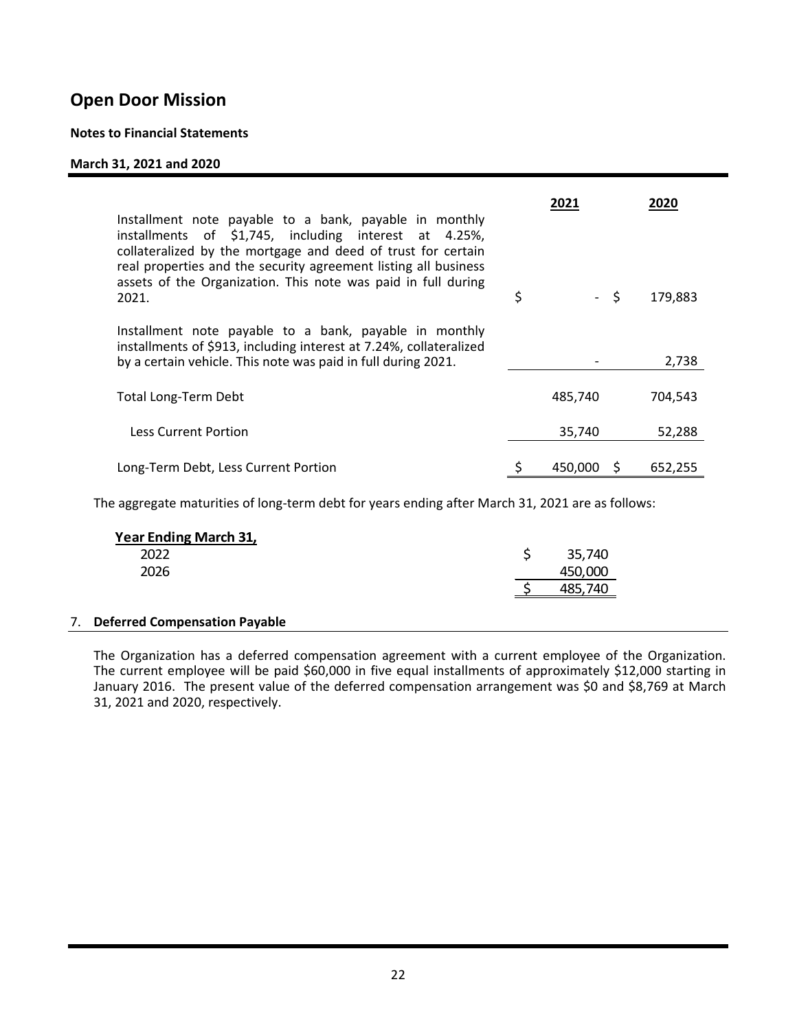#### **Notes to Financial Statements**

#### **March 31, 2021 and 2020**

| Installment note payable to a bank, payable in monthly<br>installments of \$1,745, including interest at 4.25%,                                                                                           | 2021       | 2020    |
|-----------------------------------------------------------------------------------------------------------------------------------------------------------------------------------------------------------|------------|---------|
| collateralized by the mortgage and deed of trust for certain<br>real properties and the security agreement listing all business<br>assets of the Organization. This note was paid in full during<br>2021. | \$<br>- \$ | 179,883 |
| Installment note payable to a bank, payable in monthly<br>installments of \$913, including interest at 7.24%, collateralized<br>by a certain vehicle. This note was paid in full during 2021.             |            | 2,738   |
| <b>Total Long-Term Debt</b>                                                                                                                                                                               | 485,740    | 704,543 |
| <b>Less Current Portion</b>                                                                                                                                                                               | 35,740     | 52,288  |
| Long-Term Debt, Less Current Portion                                                                                                                                                                      | 450.000    | 652,255 |

The aggregate maturities of long-term debt for years ending after March 31, 2021 are as follows:

| <b>Year Ending March 31,</b> |         |
|------------------------------|---------|
| 2022                         | 35,740  |
| 2026                         | 450,000 |
|                              | 740     |
|                              |         |

#### 7. **Deferred Compensation Payable**

The Organization has a deferred compensation agreement with a current employee of the Organization. The current employee will be paid \$60,000 in five equal installments of approximately \$12,000 starting in January 2016. The present value of the deferred compensation arrangement was \$0 and \$8,769 at March 31, 2021 and 2020, respectively.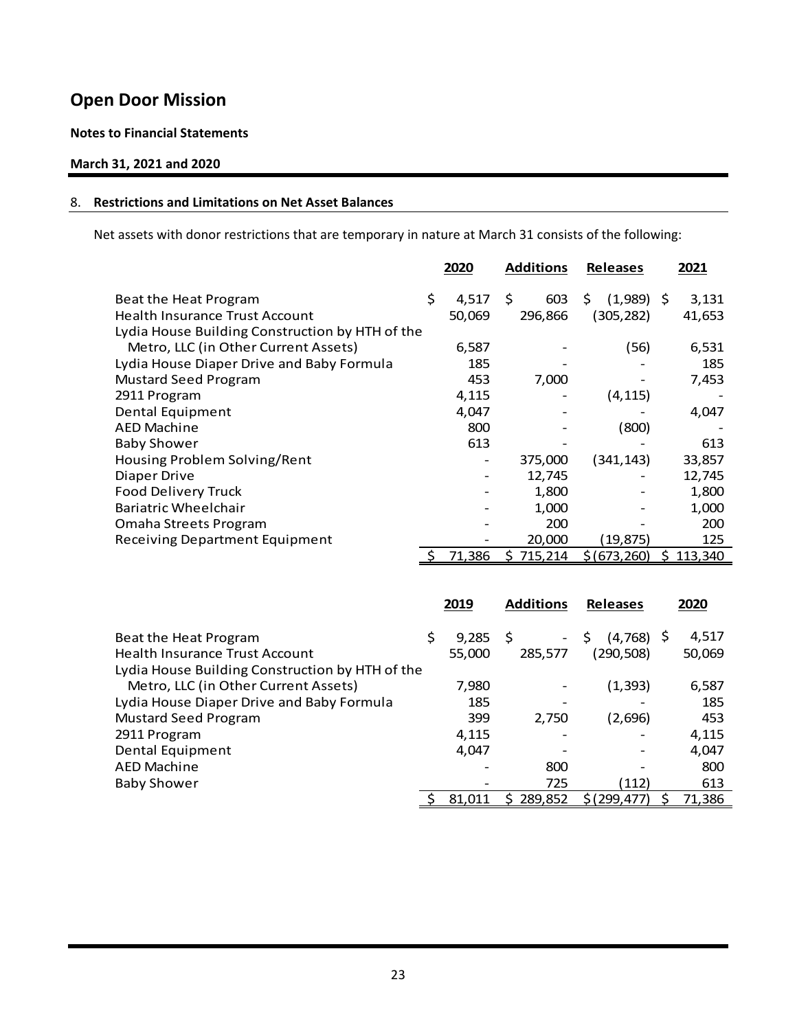### **Notes to Financial Statements**

### **March 31, 2021 and 2020**

#### 8. **Restrictions and Limitations on Net Asset Balances**

Net assets with donor restrictions that are temporary in nature at March 31 consists of the following:

|                                                 | 2020        | <b>Additions</b> | <b>Releases</b>   |   | 2021    |
|-------------------------------------------------|-------------|------------------|-------------------|---|---------|
| Beat the Heat Program                           | \$<br>4,517 | 603<br>\$        | $(1,989)$ \$<br>S |   | 3,131   |
| <b>Health Insurance Trust Account</b>           | 50,069      | 296,866          | (305, 282)        |   | 41,653  |
| Lydia House Building Construction by HTH of the |             |                  |                   |   |         |
| Metro, LLC (in Other Current Assets)            | 6,587       |                  | (56)              |   | 6,531   |
| Lydia House Diaper Drive and Baby Formula       | 185         |                  |                   |   | 185     |
| <b>Mustard Seed Program</b>                     | 453         | 7,000            |                   |   | 7,453   |
| 2911 Program                                    | 4,115       |                  | (4, 115)          |   |         |
| Dental Equipment                                | 4,047       |                  |                   |   | 4,047   |
| <b>AED Machine</b>                              | 800         |                  | (800)             |   |         |
| <b>Baby Shower</b>                              | 613         |                  |                   |   | 613     |
| Housing Problem Solving/Rent                    | -           | 375,000          | (341,143)         |   | 33,857  |
| Diaper Drive                                    |             | 12,745           |                   |   | 12,745  |
| Food Delivery Truck                             |             | 1,800            |                   |   | 1,800   |
| Bariatric Wheelchair                            |             | 1,000            |                   |   | 1,000   |
| Omaha Streets Program                           |             | 200              |                   |   | 200     |
| <b>Receiving Department Equipment</b>           |             | 20,000           | (19, 875)         |   | 125     |
|                                                 | 71,386      | 715,214          | \$(673, 260)      | S | 113,340 |

|                                                 |    | 2019   | <b>Additions</b>               | <b>Releases</b>   |  | 2020   |
|-------------------------------------------------|----|--------|--------------------------------|-------------------|--|--------|
| Beat the Heat Program                           | \$ | 9,285  | -Ŝ<br>$\overline{\phantom{0}}$ | Ś<br>$(4,768)$ \$ |  | 4,517  |
| Health Insurance Trust Account                  |    | 55,000 | 285,577                        | (290,508)         |  | 50,069 |
| Lydia House Building Construction by HTH of the |    |        |                                |                   |  |        |
| Metro, LLC (in Other Current Assets)            |    | 7,980  |                                | (1, 393)          |  | 6,587  |
| Lydia House Diaper Drive and Baby Formula       |    | 185    |                                |                   |  | 185    |
| <b>Mustard Seed Program</b>                     |    | 399    | 2.750                          | (2,696)           |  | 453    |
| 2911 Program                                    |    | 4,115  |                                |                   |  | 4,115  |
| Dental Equipment                                |    | 4,047  |                                |                   |  | 4,047  |
| <b>AED Machine</b>                              |    |        | 800                            |                   |  | 800    |
| <b>Baby Shower</b>                              |    |        | 725                            | (112)             |  | 613    |
|                                                 |    | 81.011 | 289,852                        | \$(299, 477)      |  | 71,386 |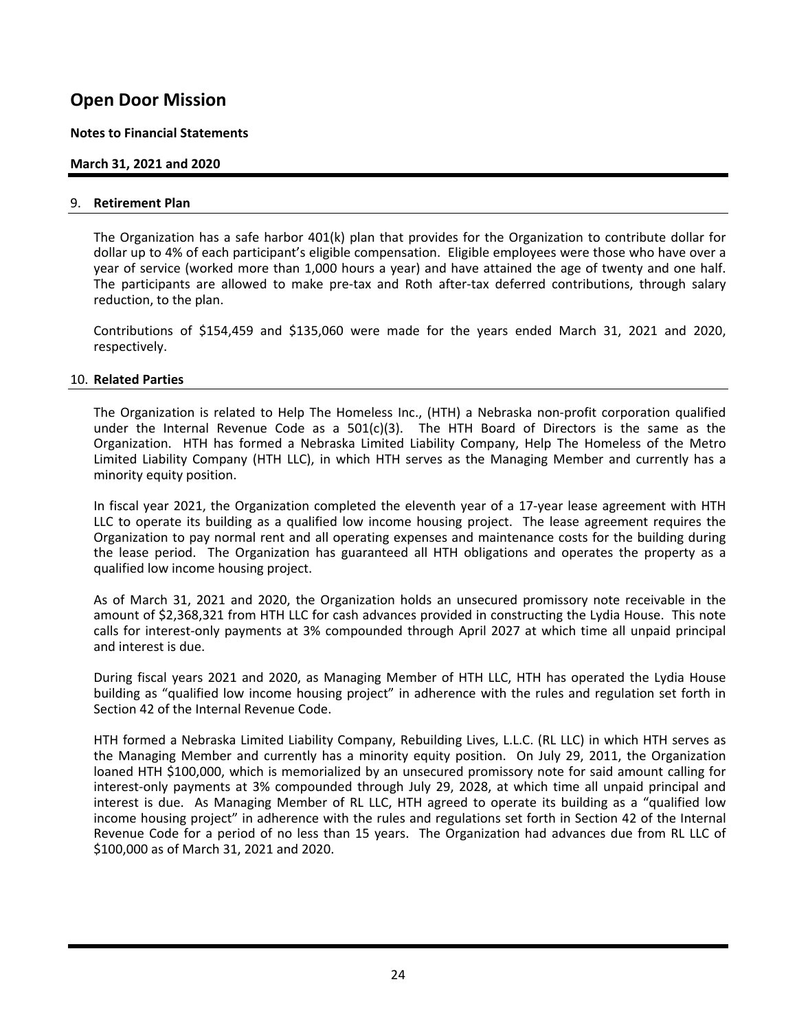#### **Notes to Financial Statements**

### **March 31, 2021 and 2020**

#### 9. **Retirement Plan**

 The Organization has a safe harbor 401(k) plan that provides for the Organization to contribute dollar for dollar up to 4% of each participant's eligible compensation. Eligible employees were those who have over a year of service (worked more than 1,000 hours a year) and have attained the age of twenty and one half. The participants are allowed to make pre-tax and Roth after-tax deferred contributions, through salary reduction, to the plan.

 Contributions of \$154,459 and \$135,060 were made for the years ended March 31, 2021 and 2020, respectively.

#### 10. **Related Parties**

 The Organization is related to Help The Homeless Inc., (HTH) a Nebraska non‐profit corporation qualified under the Internal Revenue Code as a  $501(c)(3)$ . The HTH Board of Directors is the same as the Organization. HTH has formed a Nebraska Limited Liability Company, Help The Homeless of the Metro Limited Liability Company (HTH LLC), in which HTH serves as the Managing Member and currently has a minority equity position.

In fiscal year 2021, the Organization completed the eleventh year of a 17-year lease agreement with HTH LLC to operate its building as a qualified low income housing project. The lease agreement requires the Organization to pay normal rent and all operating expenses and maintenance costs for the building during the lease period. The Organization has guaranteed all HTH obligations and operates the property as a qualified low income housing project.

As of March 31, 2021 and 2020, the Organization holds an unsecured promissory note receivable in the amount of \$2,368,321 from HTH LLC for cash advances provided in constructing the Lydia House. This note calls for interest‐only payments at 3% compounded through April 2027 at which time all unpaid principal and interest is due.

 During fiscal years 2021 and 2020, as Managing Member of HTH LLC, HTH has operated the Lydia House building as "qualified low income housing project" in adherence with the rules and regulation set forth in Section 42 of the Internal Revenue Code.

 HTH formed a Nebraska Limited Liability Company, Rebuilding Lives, L.L.C. (RL LLC) in which HTH serves as the Managing Member and currently has a minority equity position. On July 29, 2011, the Organization loaned HTH \$100,000, which is memorialized by an unsecured promissory note for said amount calling for interest-only payments at 3% compounded through July 29, 2028, at which time all unpaid principal and interest is due. As Managing Member of RL LLC, HTH agreed to operate its building as a "qualified low income housing project" in adherence with the rules and regulations set forth in Section 42 of the Internal Revenue Code for a period of no less than 15 years. The Organization had advances due from RL LLC of \$100,000 as of March 31, 2021 and 2020.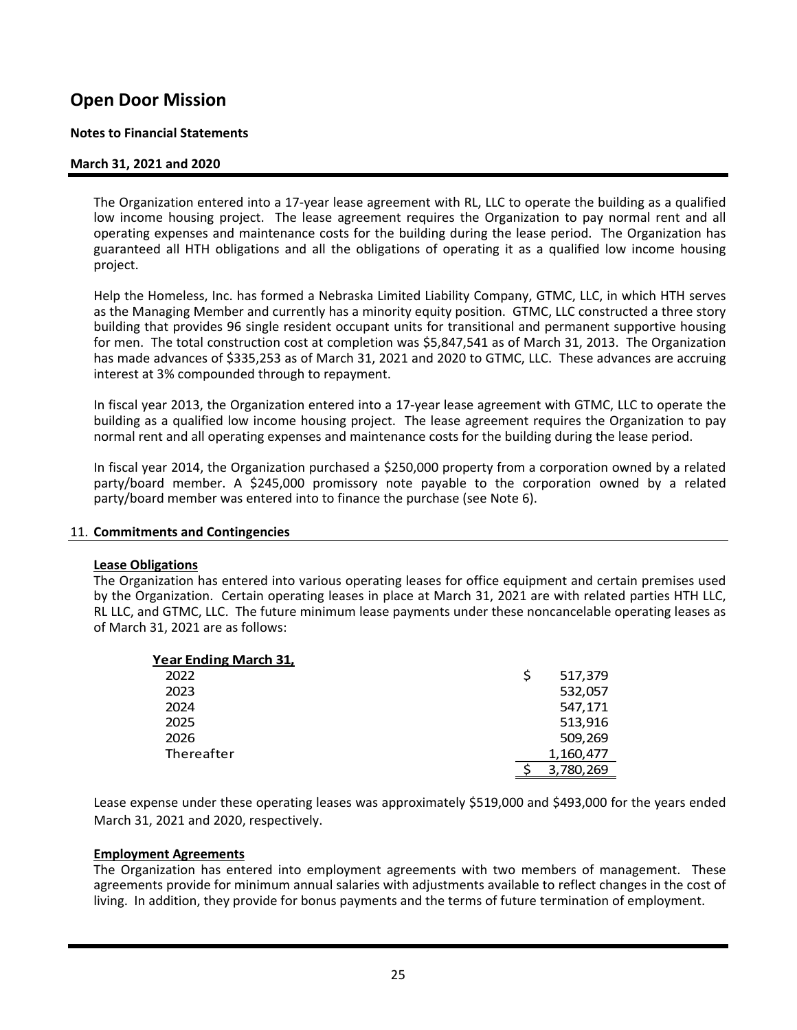#### **Notes to Financial Statements**

#### **March 31, 2021 and 2020**

 The Organization entered into a 17‐year lease agreement with RL, LLC to operate the building as a qualified low income housing project. The lease agreement requires the Organization to pay normal rent and all operating expenses and maintenance costs for the building during the lease period. The Organization has guaranteed all HTH obligations and all the obligations of operating it as a qualified low income housing project.

Help the Homeless, Inc. has formed a Nebraska Limited Liability Company, GTMC, LLC, in which HTH serves as the Managing Member and currently has a minority equity position. GTMC, LLC constructed a three story building that provides 96 single resident occupant units for transitional and permanent supportive housing for men. The total construction cost at completion was \$5,847,541 as of March 31, 2013. The Organization has made advances of \$335,253 as of March 31, 2021 and 2020 to GTMC, LLC. These advances are accruing interest at 3% compounded through to repayment.

In fiscal year 2013, the Organization entered into a 17‐year lease agreement with GTMC, LLC to operate the building as a qualified low income housing project. The lease agreement requires the Organization to pay normal rent and all operating expenses and maintenance costs for the building during the lease period.

In fiscal year 2014, the Organization purchased a \$250,000 property from a corporation owned by a related party/board member. A \$245,000 promissory note payable to the corporation owned by a related party/board member was entered into to finance the purchase (see Note 6).

#### 11. **Commitments and Contingencies**

#### **Lease Obligations**

 The Organization has entered into various operating leases for office equipment and certain premises used by the Organization. Certain operating leases in place at March 31, 2021 are with related parties HTH LLC, RL LLC, and GTMC, LLC. The future minimum lease payments under these noncancelable operating leases as of March 31, 2021 are as follows:

| <b>Year Ending March 31,</b> |   |           |
|------------------------------|---|-----------|
| 2022                         | S | 517,379   |
| 2023                         |   | 532,057   |
| 2024                         |   | 547,171   |
| 2025                         |   | 513,916   |
| 2026                         |   | 509,269   |
| Thereafter                   |   | 1,160,477 |
|                              |   | 3,780,269 |

Lease expense under these operating leases was approximately \$519,000 and \$493,000 for the years ended March 31, 2021 and 2020, respectively.

#### **Employment Agreements**

The Organization has entered into employment agreements with two members of management. These agreements provide for minimum annual salaries with adjustments available to reflect changes in the cost of living. In addition, they provide for bonus payments and the terms of future termination of employment.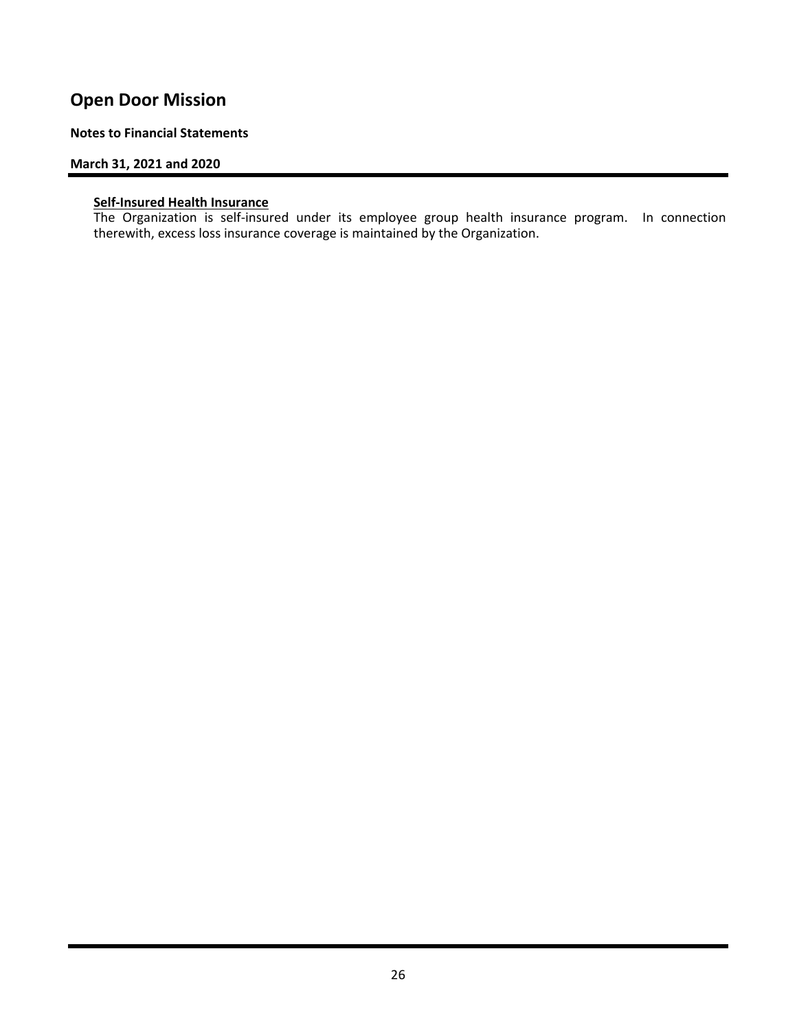#### **Notes to Financial Statements**

#### **March 31, 2021 and 2020**

#### **Self‐Insured Health Insurance**

The Organization is self-insured under its employee group health insurance program. In connection therewith, excess loss insurance coverage is maintained by the Organization.